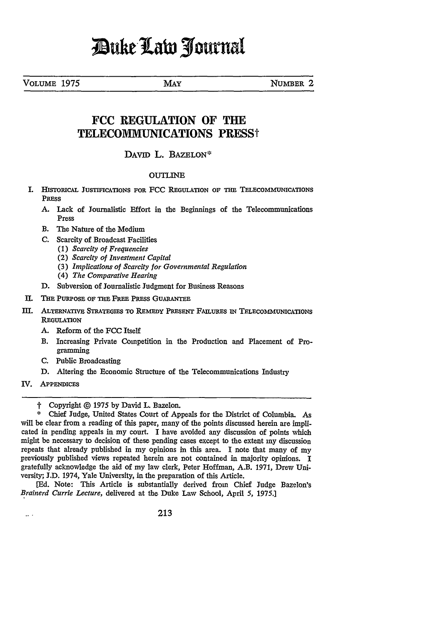# Duke Law Journal

VOLUME **1975** MAY **NUMBER** 2

# **FCC REGULATION** OF THE **TELECOMMUNICATIONS** PRESSt

#### DAVID L. BAZELON\*

#### **OUTLINE**

- **I. IsToRIcAL JUSTIFICATIONS FOR** FCC **REGULATION OF THE TELECOMMUNICATIONS PRESS**
	- **A.** Lack of Journalistic Effort in the Beginnings of the Telecommunications Press
	- B. The Nature of the Medium
	- C. Scarcity of Broadcast Facilities
		- *(1)* Scarcity of *Frequencies*
		- (2) Scarcity of *Investment Capital*
		- (3) Implications of Scarcity for *Governmental* Regulation
		- (4) *The Comparative Hearing*
	- D. Subversion of Journalistic Judgment for Business Reasons
- IL THE PuRPosE **OF TiE FREE PRESS GUARANTEE**
- **II.** ALTERNATIVE **STRATEGIES TO REmEDy PRESENT FAILUREs IN TELECOmmUNICATIONS REGULATION**
	- **A. Reform of** the **FCC** Itself
	- B. Increasing Private Competition in the Production and Placement of Programming
	- C. Public Broadcasting
	- D. Altering the Economic Structure of the Telecommunications Industry
- IV. APPENDICES

**\*** Chief Judge, United States Court of Appeals for the District of Columbia. As will be clear from a reading of this paper, many of the points discussed herein are implicated in pending appeals in my court. I have avoided any discussion of points which might be necessary to decision of these pending cases except to the extent my discussion repeats that already published in my opinions in this area. **I** note that many of my previously published views repeated herein are not contained in majority opinions. **I** gratefully acknowledge the aid of my law clerk, Peter Hoffman, A.B. 1971, Drew University; J.D. 1974, Yale University, in the preparation of this Article.

**[Ed.** Note: This Article is substantially derived from Chief Judge Bazelon's *Brainerd* Currie Lecture, delivered at the Duke Law School, April 5, 1975.]

t Copyright 0 **1975** by David L. Bazelon.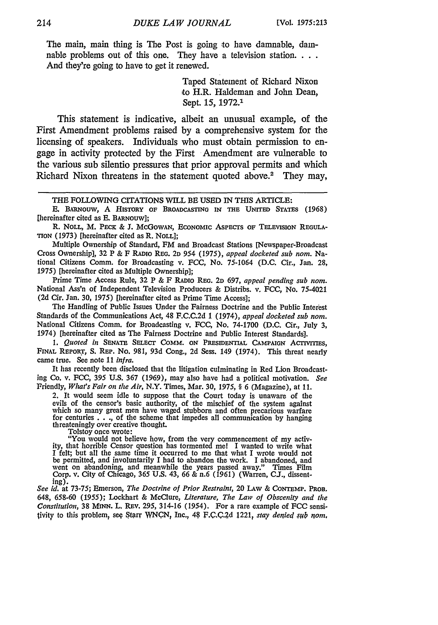The main, main thing is The Post is going to have damnable, damnable problems out of this one. They have a television station **...** And they're going to have to get it renewed.

> Taped Statement of Richard Nixon **,to** H.R. Haldeman and **John** Dean, Sept. **15, 1972.1**

This statement is indicative, albeit an unusual example, of the First Amendment problems raised **by** a comprehensive system for the licensing of speakers. Individuals who must obtain permission to engage in activity protected **by** the First Amendment are vulnerable to the various sub silentio pressures that prior approval permits and which Richard Nixon threatens in the statement quoted above.<sup>2</sup> They may,

R. NOLL, M. PECK & **J.** MCGOWAN, ECONOMIC ASPECTS OF TELEVISION **REGULA-TION** (1973) [hereinafter cited as R. NOLL];

Multiple Ownership of Standard, FM and Broadcast Stations [Newspaper-Broadcast Cross Ownership], **32** P & F **RADIO** REG. **2D** 954 *(1975), appeal docketed sub nom.* National Citizens Comm. for Broadcasting v. FCC, No. 75-1064 **(D.C.** Cir., Jan. **28,** 1975) [hereinafter cited as Multiple Ownership];

Prime Time Access Rule, 32 P & F **RADIO** REG. **2D** 697, *appeal pending sub nom.* National Ass'n of Independent Television Producers & Distribs. v. FCC, No. 75-4021 (2d Cir. Jan. 30, 1975) [hereinafter cited as Prime Time Access];

The Handling of Public Issues Under the Fairness Doctrine and the Public Interest Standards of the Communications Act, 48 F.C.C.2d 1 (1974), *appeal docketed sub nom.* National Citizens Comm. for Broadcasting v. FCC, No. 74-1700 **(D.C.** Cir., July 3, 1974) [hereinafter cited as The Fairness Doctrine and Public Interest Standards].

*1. Quoted in* **SENATE** SELECT COMM. **ON** PRESIDENTIAL **CAMPAIGN** ACTIVITIES, FINAL REPORT, **S.** REP. No. 981, **93d** Cong., 2d Sess. 149 (1974). This threat nearly came true. See note 11 *infra.*

It has recently been disclosed that the litigation culminating in Red Lion Broadcasting **Co.** v. FCC, *395* **U.S.** 367 (1969), may also have had a political motivation. *See* Friendly, *What's Fair on* the *Air,* N.Y. Times, Mar. 30, 1975, § 6 (Magazine), at **11.**

2. It would seem idle to suppose that the Court today is unaware of the evils of the censor's basic authority, of the mischief of the system against which so many great men have waged stubborn and often precarious warfare for centuries **. . .,** of the scheme that impedes all communication **by** hanging threateningly over creative thought.

Tolstoy once wrote:

"You would not believe how, from the very commencement of my activ-ity, that horrible Censor question has tormented me! I wanted to write what I felt; but all the same time it occurred to me that what I wrote would not be permitted, and involuntarily I had to abandon the work. I abandoned, and went on abandoning, and meanwhile the years passed away." Times Film Corp. v. City of Chicago, 365 **U.S.** 43, 66 & n.6 (1961) (Warren, **C.J.,** dissent- ing).

*See id.* at 73-75; Emerson, *The Doctrine of Prior Restraint,* 20 LAw & **CNTEMP. PROB.** 648, 658-60 (1955); Lockhart & McClure, Literature, *The Law of Obscenity and the* Constitution, **38** MINN. L. REV. 295, 314-16 (1954). For a rare example of **FCC** sensitivity to this problem, sep Starr WNcN, Inc., 48 **F.C.C.d** 1221, *stay* denied *sub nom,*

THE FOLLOWING CITATIONS WILL BE **USED IN THIS** ARTICLE:

E. BAnNOUW, A HISTORY OF BROADCASTING **IN** THE **UNITED STATES** (1968) [hereinafter cited as **E.** BARNOUw];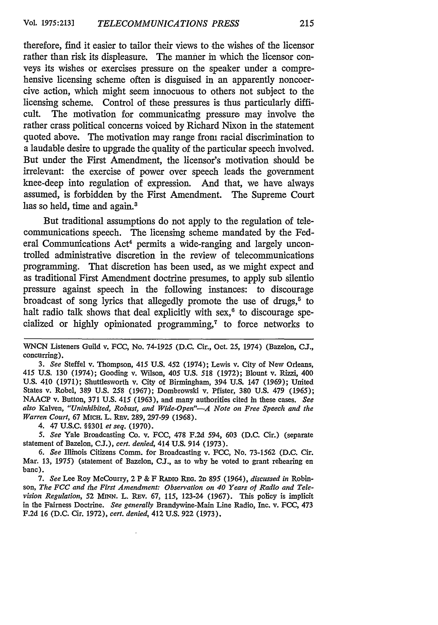therefore, find it easier to tailor their views to the wishes of the licensor rather than risk its displeasure. The manner in which the licensor conveys its wishes or exercises pressure on the speaker under a comprehensive licensing scheme often is disguised in an apparently noncoercive action, which might seem innocuous to others not subject to the licensing scheme. Control of these pressures is thus particularly difficult. The motivation for communicating pressure may involve the rather crass political concerns voiced by Richard Nixon in the statement quoted above. The motivation may range from racial discrimination to a laudable desire to upgrade the quality of the particular speech involved. But under the First Amendment, the licensor's motivation should be irrelevant: the exercise of power over speech leads the government knee-deep into regulation of expression. And that, we have always assumed, is forbidden by the First Amendment. The Supreme Court has so held, time and again.<sup>3</sup>

But traditional assumptions do not apply to the regulation of telecommunications speech. The licensing scheme mandated by the Federal Communications Act<sup>4</sup> permits a wide-ranging and largely uncontrolled administrative discretion in the review of telecommunications programming. That discretion has been used, as we might expect and as traditional First Amendment doctrine presumes, to apply sub silentio pressure against speech in the following instances: to discourage broadcast of song lyrics that allegedly promote the use of drugs,<sup>5</sup> to halt radio talk shows that deal explicitly with  $sex$ ,  $6$  to discourage specialized or highly opinionated programming,<sup>7</sup> to force networks to

4. 47 U.S.C. **§§301** *et seq.* (1970).

*5. See* Yale Broadcasting Co. v. FCC, 478 F.2d 594, 603 (D.C. Cir.) (separate statement of Bazelon, C.J.), *cert. denied,* 414 **U.S.** 914 (1973).

*6. See* Illinois Citizens Comm. for Broadcasting v. FCC, No. 73-1562 (D.C. Cir. Mar. 13, 1975) (statement of Bazelon, **C.J,** as to why he voted to grant rehearing en banc).

*7. See* Lee Roy McCourry, 2 P & F RArio **REG. 2D** 895 (1964), *discussed in* Robinson, *The FCC and the First Amendment: Observation on 40 Years of Radio and Television Regulation, 52 MINN. L. REV. 67, 115, 123-24 (1967). This policy is implicit* in the Fairness Doctrine. *See generally* Brandywine-Main Line Radio, Inc. v. FCC, 473 F.2d 16 (D.C. Cir. 1972), *cert. denied,* 412 U.S. 922 (1973).

WNCN Listeners Guild v. FCC, No. **74-1925 (D.C.** Cir., Oct. 25, 1974) (Bazelon, **C.J.,** concurring).

*<sup>3.</sup> See* Steffel v. Thompson, 415 U.S. 452 (1974); Lewis v. City of New Orleans, 415 U.S. 130 (1974); Gooding v. Wilson, 405 **U.S.** 518 (1972); Blount v. Rizzi, 400 U.S. 410 (1971); Shuttlesworth v. City of Birmingham, 394 U.S. 147 (1969); United States v. Robel, 389 U.S. 258 (1967); Dombrowski v. Pfister, 380 U.S. 479 (1965); NAACP v. Button, 371 U.S. 415 (1963), and many authorities cited in these cases. *See also* Kalven, *"Uninhibited, Robust, and Wide-Open"--A Note on Free Speech and the Warren Court,* 67 MrCH. L. REv. 289, 297-99 (1968).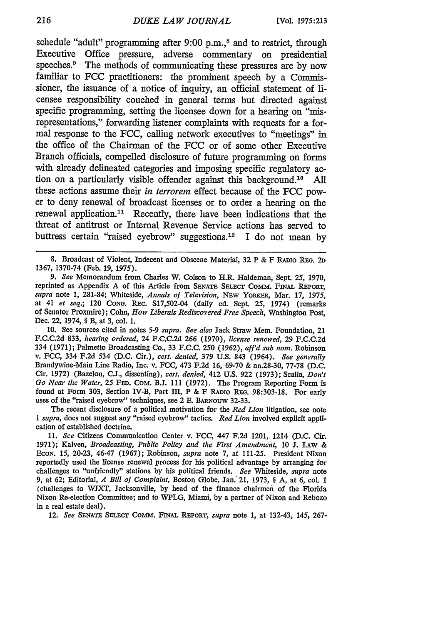schedule "adult" programming after 9:00 p.m.,<sup>8</sup> and to restrict, through Executive Office pressure, adverse commentary on presidential speeches.<sup>9</sup> The methods of communicating these pressures are by now familiar to FCC practitioners: the prominent speech by a Commissioner, the issuance of a notice of inquiry, an official statement of **li**censee responsibility couched in general terms but directed against specific programming, setting the licensee down for a hearing on "misrepresentations," forwarding listener complaints with requests for a formal response to the FCC, calling network executives to "meetings" in the office of the Chairman of the FCC or of some other Executive Branch officials, compelled disclosure of future programming on forms with already delineated categories and imposing specific regulatory action on a particularly visible offender against this background.<sup>10</sup> All these actions assume their *in terrorem* effect because of the FCC power to deny renewal of broadcast licenses or to order a hearing on the renewal application.<sup>11</sup> Recently, there have been indications that the threat of antitrust or Internal Revenue Service actions has served to buttress certain "raised eyebrow" suggestions.<sup>12</sup> I do not mean by

10. See sources cited in notes *5-9 supra. See also* Jack Straw Mem. Foundation, 21 F.C.C.2d 833, *hearing ordered,* 24 F.C.C.2d 266 (1970), *license renewed,* 29 F.C.C.2d 334 (1971); Palmetto Broadcasting Co., 33 F.C.C. 250 (1962), *aff'd sub nom.* Robinson v. FCC, 334 F.2d 534 (D.C. Cir.), *cert. denied,* 379 U.S. 843 (1964). *See generally* Brandywine-Main Line Radio, Inc. v. FCC, 473 F.2d 16, 69-70 & nn.28-30, 77-78 (D.C. Cir. 1972) (Bazelon, C.J., dissenting), *cert. denied,* 412 U.S. 922 (1973); Scalia, *Don't Go Near the Water,* **25 FED.** COM. B.J. 111 (1972). The Program Reporting Form is found at Form 303, Section IV-B, Part II, P & F RADIO REG. 98:303-18. For early uses of the "raised eyebrow" techniques, see 2 E. BARNouw 32-33.

The recent disclosure of a political motivation for the *Red Lion* litigation, see note *1 supra,* does not suggest any "raised eyebrow" tactics. *Red Lion* involved explicit application of established doctrine.

11. *See* Citizens Communication Center v. FCC, 447 F.2d 1201, 1214 (D.C. Cir. 1971); Kalven, *Broadcasting, Public Policy and the First Amendment,* **10 J. LAW & ECON.** *15,* 20-23, 46-47 (1967); Robinson, *supra* note 7, at 111-25. President Nixon reportedly used the license renewal process for his political advantage by arranging for challenges to "unfriendly" stations by his political friends. *See* Whiteside, *supra* note 9, at 62; Editorial, *A Bill of Complaint,* Boston Globe, Jan. 21, 1973, § A, at 6, col. 1 (challenges to WJXT, Jacksonville, **by** head of the finance chairmen of the Florida Nixon Re-election Committee; and to WPLG, Miami, by a partner of Nixon and Rebozo in a real estate deal).

12. *See* **SENATE SELECT COMM. FiNAL** REPORT, *supra* note 1, at 132-43, 145, 267-

<sup>8.</sup> Broadcast of Violent, Indecent and Obscene Material, 32 P & F **RADIo** REG. **2D** 1367, 1370-74 (Feb. 19, 1975).

*<sup>9.</sup> See* Memorandum from Charles W. Colson to H.R. Haldeman, Sept. 25, 1970, reprinted as Appendix A of this Article from **SENATE SELECT** COMM. **FINAL REPORT,** supra note 1, 281-84; Whiteside, *Annals of Television*, New Yorker, Mar. 17, 1975, at 41 *et seq.*; 120 CONG. REC. S17,502-04 (daily ed. Sept. 25, 1974) (remarks of Senator Proxmire); Cohn, *How Liberals Rediscovered Free Speech,* Washington Post, Dec. 22, 1974, § B, at 3, col. 1.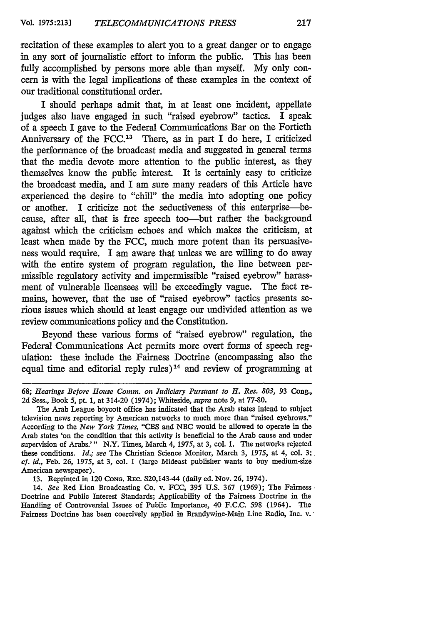recitation of these examples to alert you to a great danger or to engage in any sort of journalistic effort to inform the public. This has been fully accomplished by persons more able than myself. My only concern is with the legal implications of these examples in the context of our traditional constitutional order.

I should perhaps admit that, in at least one incident, appellate judges also have engaged in such "raised eyebrow" tactics. I speak of a speech I gave to the Federal Communications Bar on the Fortieth Anniversary of the FCC.<sup>13</sup> There, as in part I do here, I criticized the performance of the broadcast media and suggested in general terms that the media devote more attention to the public interest, as they themselves know the public interest. It is certainly easy to criticize the broadcast media, and I am sure many readers of this Article have experienced the desire to "chill" the media into adopting one policy or another. I criticize not the seductiveness of this enterprise-because, after all, that is free speech too-but rather the background against which the criticism echoes and which makes the criticism, at least when made by the FCC, much more potent than its persuasiveness would require. I am aware that unless we are willing to do away with the entire system of program regulation, the line between permissible regulatory activity and impermissible "raised eyebrow" harassment of vulnerable licensees will be exceedingly vague. The fact remains, however, that the use of "raised eyebrow" tactics presents serious issues which should at least engage our undivided attention as we review communications policy and the Constitution.

Beyond these various forms of "raised eyebrow" regulation, the Federal Communications Act permits more overt forms of speech regulation: these include the Fairness Doctrine (encompassing also the equal time and editorial reply rules)<sup>14</sup> and review of programming at

**<sup>68;</sup>** *Hearings Before House Comm. on Judiciary Pursuant to H. Res. 803,* 93 Cong., 2d Sess., Book 5, pt. 1, at 314-20 (1974); Whiteside, *supra* note **9,** at **77-80.**

The Arab League boycott office has indicated that the Arab states intend to subject television news reporting by American networks to much more than "raised eyebrows." According to the *New York Times,* "CBS and NBC would be allowed to operate in the Arab states 'on the condition that this activity is beneficial to the Arab cause and under supervision of Arabs.'" N.Y. Times, March 4, 1975, at 3, col. 1. The networks rejected these conditions. *Id.; see* The Christian Science Monitor, March 3, 1975, at 4, col. **3;** *cf. id.,* Feb. 26, 1975, at 3, col. 1 (large Mideast publisher wants to buy medium-size American newspaper).

<sup>13.</sup> Reprinted in 120 **CONG. Rnc.** S20,143-44 (daily ed. Nov. **26,** 1974).

<sup>14.</sup> *See* Red Lion Broadcasting Co. v. FCC, 395 U.S. 367 (1969); The Fairness Doctrine and Public Interest Standards; Applicability of the Fairness Doctrine in the Handling of Controversial Issues of Public Importance, 40 F.C.C. 598 (1964). The Fairness Doctrine has been coercively applied in Brandywine-Main Line Radio, Inc. v.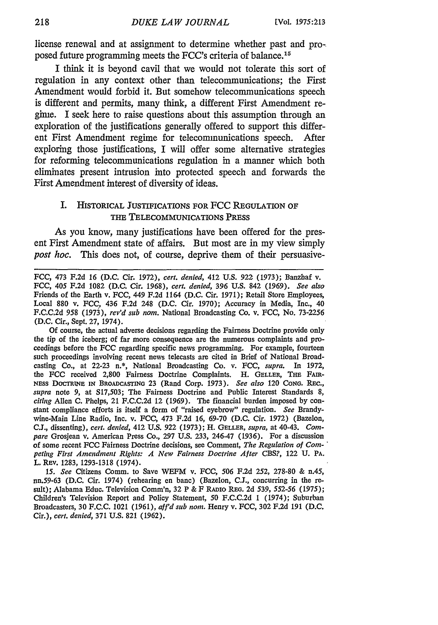license renewal and at assignment to determine whether past and proposed future programming meets the FCC's criteria of balance.<sup>15</sup>

I think it is beyond cavil that we would not tolerate this sort of regulation in any context other than telecommunications; the First Amendment would forbid it. But somehow telecommunications speech is different and permits, many think, a different First Amendment regime. I seek here to raise questions about this assumption through an exploration of the justifications generally offered to support this different First Amendment regime for telecommunications speech. After exploring those justifications, I will offer some alternative strategies for reforming telecommunications regulation in a manner which both eliminates present intrusion into protected speech and forwards the First Amendment interest of diversity of ideas.

## I. HISTORICAL **JUSTIFICATIONS** FOR FCC REGULATION OF THE TELECOMMUNICATIONS PRESS

As you know, many justifications have been offered for the present First Amendment state of affairs. But most are in my view simply *post hoc.* This does not, of course, deprive them of their persuasive-

Of course, the actual adverse decisions regarding the Fairness Doctrine provide only the tip of the iceberg; of far more consequence are the numerous complaints and proceedings before the FCC regarding specific news programming. For example, fourteen such proceedings involving recent news telecasts are cited in Brief of National Broadcasting Co., at 22-23 n.\*, National Broadcasting Co. v. FCC, *supra.* In 1972, the FCC received 2,800 Fairness Doctrine Complaints. H. GELLER, ThE FAIR-**NESS** DOCTRINE **IN BROADCASTING** 23 (Rand Corp. 1973). *See also* 120 CoNG. **REc.,** *supra* note 9, at S17,503; The Fairness Doctrine and Public Interest Standards 8, *citing* Allen C. Phelps, 21 F.C.C.2d 12 (1969). The financial burden imposed by constant compliance efforts is itself a form of "raised eyebrow" regulation. *See* Brandywine-Main Line Radio, Inc. v. FCC, 473 F.2d 16, 69-70 (D.C. Cir. 1972) (Bazelon, **C.J.,** dissenting), *cert. denied,* 412 U.S. 922 (1973); H. **GELLER,** *supra,* at 40-43. *Compare* Grosjean v. American Press Co., 297 U.S. 233, 246-47 (1936). For a discussion of some recent FCC Fairness Doctrine decisions, see Comment, *The Regulation of Conpeting First Amendment Rights: A New Fairness Doctrine After* CBS?, 122 **U.** PA. L. REv. 1283, 1293-1318 (1974).

*15. See* Citizens Comm. to Save WEFM v. FCC, 506 F.2d 252, 278-80 & n.45, nn.59-63 (D.C. Cir. 1974) (rehearing en bane) (Bazelon, C.J., concurring in the resuit); Alabama Educ. Television Comm'n, 32 P & F RADIO REG. 2d *539, 552-56* (1975); Children's Television Report and Policy Statement, **50 F.C.C.2d** 1 (1974); Suburban Broadcasters, 30 F.C.C. 1021 (1961), *affd sub nor.* Henry v. FCC, 302 **F.2d** 191 (D.C. Cir.), *cert. denied,* **371** U.S. 821 (1962).

**FCC,** 473 F.2d 16 (D.C. Cir. 1972), *cert. denied,* 412 U.S. 922 (1973); Banzhaf v. FCC, 405 F.2d 1082 (D.C. Cir. 1968), *cert. denied,* 396 U.S. 842 (1969). *See also* Friends of the Earth v. **FCC,** 449 **F.2d** 1164 **(D.C.** Cir. 1971); Retail Store Employees, Local 880 v. FCC, 436 F.2d 248 (D.C. Cir. 1970); Accuracy in Media, Inc., 40 F.C.C.2d 958 (1973), *rev'd sub nom.* National Broadcasting Co. v. FCC, No. 73-2256 (D.C. Cir., Sept. **27,** 1974).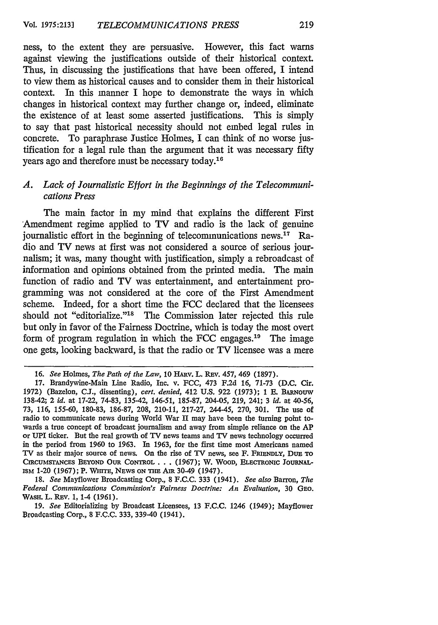ness, to the extent they are persuasive. However, this fact warns against viewing the justifications outside of their historical context. Thus, in discussing the justifications that have been offered, I intend to view them as historical causes and to consider them in their historical context. In this manner I hope to demonstrate the ways in which changes in historical context may further change or, indeed, eliminate the existence of at least some asserted justifications. This is simply to say that past historical necessity should not embed legal rules in concrete. To paraphrase Justice Holmes, I can think of no worse justification for a legal rule than the argument that it was necessary fifty years ago and therefore must be necessary today.<sup>16</sup>

## *A. Lack of Journalistic Effort in the Beginnings of the Telecommunications Press*

The main factor in my mind that explains the different First 'Amendment regime applied to TV and radio is the lack of genuine journalistic effort in the beginning of telecommunications news.<sup>17</sup> Radio and TV news at first was not considered a source of serious journalism; it was, many thought with justification, simply a rebroadcast of information and opinions obtained from the printed media. The main function of radio and TV was entertainment, and entertainment programming was not considered at the core of the First Amendment scheme. Indeed, for a short time the FCC declared that the licensees should not "editorialize."<sup>18</sup> The Commission later rejected this rule but only in favor of the Fairness Doctrine, which is today the most overt form of program regulation in which the FCC engages.<sup>19</sup> The image one gets, looking backward, is that the radio or TV licensee was a mere

18. *See* Mayflower Broadcasting Corp., 8 F.C.C. 333 (1941). *See also* Barron, *The Federal Communications Commission's Fairness Doctrine: An Evaluation,* 30 GEo. WASH. L. REV. 1, 1-4 (1961).

19. *See* Editorializing by Broadcast Licensees, 13 F.C.C. 1246 (1949); Mayflower Broadcasting Corp., 8 F.C.C. 333, 339-40 (1941).

<sup>16.</sup> *See* Holmes, *The Path of the Law,* 10 HAkv. L. REv. 457, 469 (1897).

<sup>17.</sup> Brandywine-Main Line Radio, Inc. v. FCC, 473 F.2d 16, 71-73 (D.C. Cir. 1972) (Bazelon, **C.I.,** dissenting), *cert. denied,* 412 U.S. 922 (1973); 1 **E.** BARNoUW 138-42; 2 *id.* at 17-22, 74-83, 135-42, 146-51, 185-87, 204-05, 219, 241; 3 *id.* at 40-56, 73, 116, *155-60,* 180-83, 186-87, 208, 210-11, 217-27, 244-45, 270, 301. The use of radio to communicate news during World War II may have been the turning point towards a true concept of broadcast journalism and away from simple reliance on the AP or UPI ticker. But the real growth of TV news teams and TV news technology occurred in the period from 1960 to 1963. In 1963, for the first time most Americans named TV as their major source of news. On the rise of TV news, see F. **FRIENDLY,** Dun **TO CiRCUMSTANCES** BEYOND OuR **CoNTROL..** . (1967); W. WooD, **ELECTRONIC** JOURNAL-ISm 1-20 (1967); P. Wurra, NEws oN **THE** Am 30-49 (1947).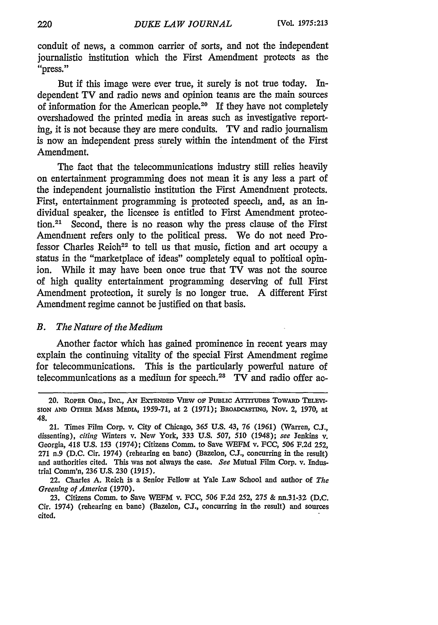conduit of news, a common carrier of sorts, and not the independent journalistic institution which the First Amendment protects as the "press."

But if this image were ever true, it surely is not true today. Independent TV and radio news and opinion teams are the main sources of information for the American people.20 If they have not completely overshadowed the printed media in areas such as investigative reporting, it is not because they are mere conduits. TV and radio journalism is now an independent press surely within the intendment of the First Amendment.

The fact that the telecommunications industry still relies heavily on entertainment programming does not mean it is any less a part of the independent journalistic institution the First Amendment protects. First, entertainment programming is protected speech, and, as an individual speaker, the licensee is entitled to First Amendment protection.21 Second, there is no reason why the press clause of the First Amendment refers only to the political press. We do not need Professor Charles Reich<sup>22</sup> to tell us that music, fiction and art occupy a status in the "marketplace of ideas" completely equal to political opinion. While it may have been once true that TV was not the source of high quality entertainment programming deserving of full First Amendment protection, it surely is no longer true. A different First Amendment regime cannot be justified on that basis.

### *B. The Nature of the Medium*

Another factor which has gained prominence in recent years may explain the continuing vitality of the special First Amendment regime for telecommunications. This is the particularly powerful nature of telecommunications as a medium for speech.<sup>28</sup> TV and radio offer ac-

<sup>20.</sup> ROPER ORG., INC., AN EXTENDED VIEW OF PUBLIC ATTITUDES TOWARD TELEVI-SION **AND** OTHER MASS MEDrA, **1959-71,** at 2 **(1971);** BROADCASTING, Nov. 2, **1970,** at **48.**

<sup>21.</sup> Times Film Corp. v. City of Chicago, **365 U.S. 43, 76 (1961)** (Warren, **C.".,** dissenting), citing Winters v. New York, 333 **U.S. 507, 510** (1948); see Jenkins v. Georgia, 418 **U.S.** 153 (1974); Citizens Comm. to Save WEFM v. FCC, **506 F.2d 252, 271** n.9 **(D.C.** Cir. 1974) (rehearing en bane) (Bazelon, **C.J.,** concurring in the result) and authorities cited. This was not always the case. *See* Mutual Film Corp. v. Industrial Comm'n, **236 U.S. 230 (1915).**

<sup>22.</sup> Charles **A.** Reich is a Senior Fellow at Yale Law School and author of *The* Greening of *America* **(1970).**

**<sup>23.</sup>** Citizens Comm. to Save WEFM v. **FCC,** *506* **F.2d 252,** *275* **&** nn.31-32 **(D.C.** Cir. 1974) (rehearing en bane) (Bazelon, **C.J.,** concurring in the result) and sources cited.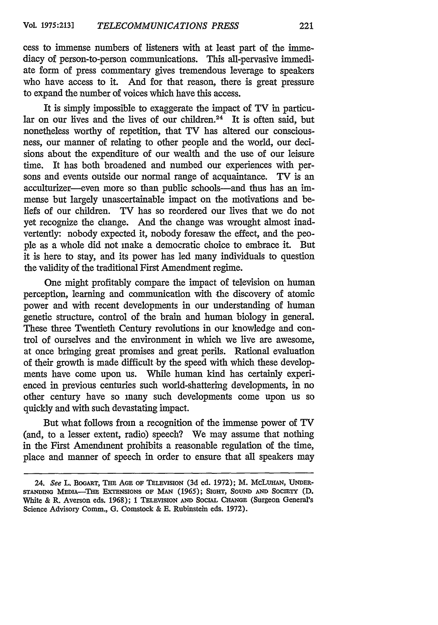cess to immense numbers of listeners with at least part of the immediacy of person-to-person communications. This all-pervasive immediate form of press commentary gives tremendous leverage to speakers who have access to it. And for that reason, there is great pressure to expand the number of voices which have this access.

It is simply impossible to exaggerate the impact of TV in particular on our lives and the lives of our children.<sup>24</sup> It is often said, but nonetheless worthy of repetition, that TV has altered our consciousness, our manner of relating to other people and the world, our decisions about the expenditure of our wealth and the use of our leisure time. It has both broadened and numbed our experiences with persons and events outside our normal range of acquaintance. TV is an acculturizer--even more so than public schools-and thus has an immense but largely unascertainable impact on the motivations and beliefs of our children. TV has so reordered our lives that we do not yet recognize the change. And the change was wrought almost inadvertently: nobody expected it, nobody foresaw the effect, and the people as a whole did not make a democratic choice to embrace it. But it is here to stay, and its power has led many individuals to question the validity of the traditional First Amendment regime.

One might profitably compare the impact of television on human perception, learning and communication with the discovery of atomic power and with recent developments in our understanding of human genetic structure, control of the brain and human biology in general. These three Twentieth Century revolutions in our knowledge and control of ourselves and the environment in which we live are awesome, at once bringing great promises and great perils. Rational evaluation of their growth is made difficult by the speed with which these developments have come upon us. While human kind has certainly experienced in previous centuries such world-shattering developments, in no other century have so many such developments come upon us so quickly and with such devastating impact.

But what follows from a recognition of the immense power of TV (and, to a lesser extent, radio) speech? We may assume that nothing in the First Amendment prohibits a reasonable regulation of the time, place and manner of speech in order to ensure that all speakers may

<sup>24.</sup> See L. BOGART, THE AGE OF TELEVISION (3d ed. 1972); M. McLUHAN, UNDER-STANDING MEDIA-THE EXTENSIONS OF MAN (1965); SIGHT, SOUND AND SOCIETY (D. **White** & R. Averson eds. 1968); 1 **TELEVISION** *AND* **SOCIAL** CHANGE (Surgeon General's Science Advisory Comm., **G.** Comstock **& E.** Rubinstein eds. **1972).**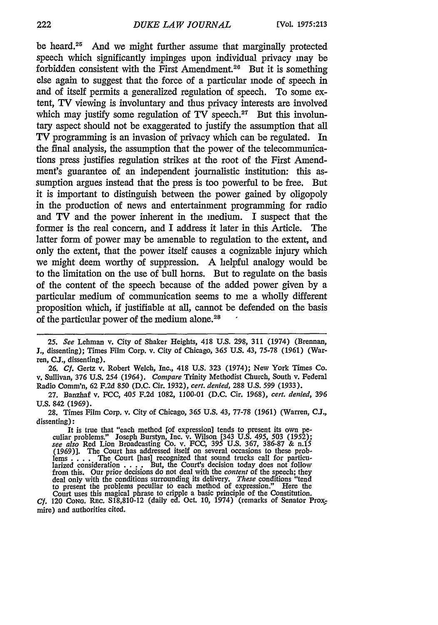be heard.<sup>25</sup> And we might further assume that marginally protected speech which significantly impinges upon individual privacy may be forbidden consistent with the First Amendment.<sup>26</sup> But it is something else again to suggest that the force of a particular mode of speech in and of itself permits a generalized regulation of speech. To some extent, TV viewing is involuntary and thus privacy interests are involved which may justify some regulation of  $TV$  speech.<sup>27</sup> But this involuntary aspect should not be exaggerated to justify the assumption that all TV programming is an invasion of privacy which can be regulated. In the final analysis, the assumption that the power of the telecommunications press justifies regulation strikes at the root of the First Amendment's guarantee of an independent journalistic institution: this assumption argues instead that the press is too powerful to be free. But it is important to distinguish between the power gained by oligopoly in the production of news and entertainment programming for radio and TV and the power inherent in the medium. I suspect that the former is the real concern, and I address it later in this Article. The latter form of power may be amenable to regulation to the extent, and only the extent, that the power itself causes a cognizable injury which we might deem worthy of suppression. A helpful analogy would be to the limitation on the use of bull horns. But to regulate on the basis of the content of the speech because of the added power given by a particular medium of communication seems to me a wholly different proposition which, if justifiable at all, cannot be defended on the basis of the particular power of the medium alone.<sup>28</sup>

*25. See* Lehman v. City of Shaker Heights, 418 U.S. 298, 311 (1974) (Brennan, **J.,** dissenting); Times Film Corp. v. City of Chicago, 365 U.S. 43, 75-78 (1961) (Warren, C.J., dissenting).

**26.** *Cf.* Gertz v. Robert Welch, Inc., 418 **U.S.** 323 (1974); New York Times Co. v. Sullivan, 376 **U.S.** 254 (1964). *Compare* Trinity Methodist Church, South v. Federal Radio Comm'n, 62 F.2d 850 (D.C. Cir. 1932), *cert. denied,* 288 **U.S.** *599* (1933).

**27.** Banzhaf v. FCC, 405 F.2d 1082, 1100-01 (D.C. Cir. 1968), *cert. denied,* **396 U.S.** 842 (1969).

28. Times Film Corp. v. City of Chicago, **365** U.S. 43, 77-78 (1961) (Warren, CJ., dissenting) **:**

It is true that "each method [of expression] tends to present its own peculiar problems." Joseph Burstyn, Inc. v. Wilson [343 U.S. *495, 503* (1952); *see also* Red Lion Broadcasting Co. v. FCC, 395 U.S. 367, 386-87 & n.15 (1969)]. The Court has addressed itself on several occasions to these prob-<br>lems . . . . The Court [has] recognized that sound trucks call for particu-<br>larized consideration . . . . But, the Court's decision today does no from this. Our prior decisions do not deal with the *content* of the speech; they deal only with the conditions surrounding its delivery. These conditions "tend<br>to present the problems peculiar to each method of expression." Here the<br>Court uses this magical phrase to cripple a basic principle of the Con

*Cf.* 120 Cong. Rec. S18,810-12 (daily ed. Oct. 10, 1974) (remarks of Senator Prox mire) and authorities cited.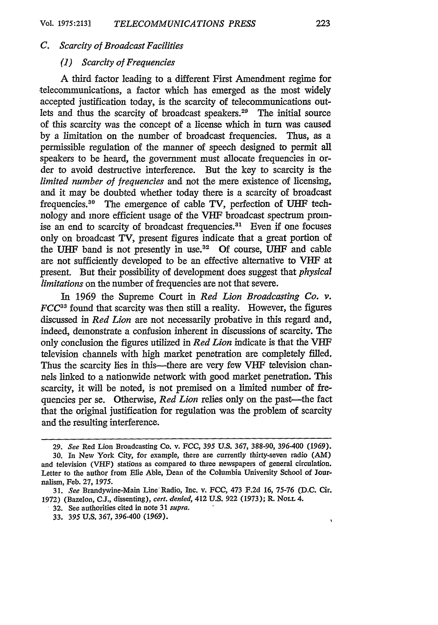#### *C. Scarcity of Broadcast Facilities*

#### *(1) Scarcity of Frequencies*

A third factor leading to a different First Amendment regime for telecommunications, a factor which has emerged as the most widely accepted justification today, is the scarcity of telecommunications outlets and thus the scarcity of broadcast speakers.29 The initial source of this scarcity was the concept of a license which in turn was caused by a limitation on the number of broadcast frequencies. Thus, as a permissible regulation of the manner of speech designed to permit all speakers to be heard, the government must allocate frequencies in order to avoid destructive interference. But the key to scarcity is the *limited number of frequencies* and not the mere existence of licensing, and it may be doubted whether today there is a scarcity of broadcast frequencies.<sup>30</sup> The emergence of cable TV, perfection of UHF technology and more efficient usage of the VHF broadcast spectrum promise an end to scarcity of broadcast frequencies. $31$  Even if one focuses only on broadcast TV, present figures indicate that a great portion of the UHF band is not presently in use.<sup>32</sup> Of course, UHF and cable are not sufficiently developed to be an effective alternative to VHF at present. But their possibility of development does suggest that *physical limitations* on the number of frequencies are not that severe.

In 1969 the Supreme Court in *Red Lion Broadcasting Co. v. FCC3 <sup>3</sup>*found that scarcity was then still a reality. However, the figures discussed in *Red Lion* are not necessarily probative in this regard and, indeed, demonstrate a confusion inherent in discussions of scarcity. The only conclusion the figures utilized in *Red Lion* indicate is that the VHF television channels with high market penetration are completely filled. Thus the scarcity lies in this-there are very few VHF television channels linked to a nationwide network with good market penetration. This scarcity, it will be noted, is not premised on a limited number of frequencies per se. Otherwise, *Red Lion* relies only on the past-the fact that the original justification for regulation was the problem of scarcity and the resulting interference.

<sup>29.</sup> *See* Red Lion Broadcasting Co. v. FCC, *395* U.S. 367, 388-90, 396-400 (1969).

<sup>30.</sup> In New York City, for example, there are currently thirty-seven radio (AM) and television (VHF) stations as compared to three newspapers of general circulation. Letter to the author from Elie Able, Dean of the Columbia University School of Journalism, Feb. 27, 1975.

<sup>31.</sup> *See* Brandywine-Main Line'Radio, Inc. v. FCC, 473 F.2d 16, 75-76 (D.C. Cir. 1972) (Bazelon, C.J, dissenting), *cert. denied,* 412 U.S. 922 (1973); R. **NOLL** 4.

<sup>32.</sup> See authorities cited in note 31 *supra.*

<sup>33.</sup> *395* U.S. 367, 396-400 (1969).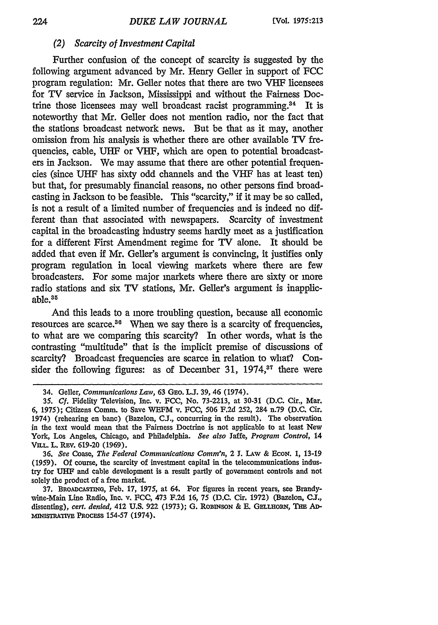#### *(2) Scarcity of Investment Capital*

Further confusion of the concept of scarcity is suggested by the following argument advanced by Mr. Henry Geller in support of FCC program regulation: Mr. Geller notes that there are two VHF licensees for TV service in Jackson, Mississippi and without the Fairness Doctrine those licensees may well broadcast racist programming. $34$  It is noteworthy that Mr. Geller does not mention radio, nor the fact that the stations broadcast network news. But be that as it may, another omission from his analysis is whether there are other available TV frequencies, cable, **UHF** or VHF, which are open to potential broadcasters in Jackson. We may assume that there are other potential frequencies (since UHF has sixty odd channels and the VHF has at least ten) but that, for presumably financial reasons, no other persons find broadcasting in Jackson to be feasible. This "scarcity," if it may be so called, is not a result of a limited number of frequencies and is indeed no different than that associated with newspapers. Scarcity of investment capital in the broadcasting industry seems hardly meet as a justification for a different First Amendment regime for TV alone. It should be added that even if Mr. Geller's argument is convincing, it justifies only program regulation in local viewing markets where there are few broadcasters. For some major markets where there are sixty or more radio stations and six TV stations, Mr. Geller's argument is inapplicable.<sup>35</sup>

And this leads to a more troubling question, because all economic resources are scarce.<sup>36</sup> When we say there is a scarcity of frequencies, to what are we comparing this scarcity? In other words, what is the contrasting "multitude" that is the implicit premise of discussions of scarcity? Broadcast frequencies are scarce in relation to what? Consider the following figures: as of December 31,  $1974$ ,<sup>37</sup> there were

37. BRoADcASTINo, Feb. 17, **1975,** at 64. For figures in recent years, see Brandywine-Main Line Radio, Inc. v. FCC, 473 **F.2d** 16, **75** (D.C. Cir. 1972) (Bazelon, **CJ.,** dissenting), *cert. denied,* 412 U.S. 922 (1973); G. ROBINSON & E. GELLHORN, THE ADministrative Process 154-57 (1974).

<sup>34.</sup> Geller, *Communications Law,* 63 GEo. **LJ.** 39, 46 (1974).

*<sup>35.</sup> Cf.* Fidelity Television, Inc. v. FCC, No. 73-2213, at 30-31 (D.C. Cir., Mar. *6,* **1975);** Citizens Comm. to Save **WEFM** v. **FCC, 506 F.2d** 252, 284 n.79 **(D.C.** Cir. 1974) (rehearing en banc) (Bazelon, **CJ.,** concurring in the result). The observation in the text would mean that the Fairness Doctrine is not applicable to at least New York, Los Angeles, Chicago, and Philadelphia. *See also* Jaffe, *Program Control,* 14 ViL. L. REv. **619-20** (1969).

*<sup>36.</sup> See Coase, The Federal Communications Comm'n,* 2 **1.** LAw **&** EcoN. **1, 13-19 (1959).** Of course, the scarcity of investment capital in the telecommunications industry for **UHF** and cable development is a result partly of government controls and not solely the product of a free market.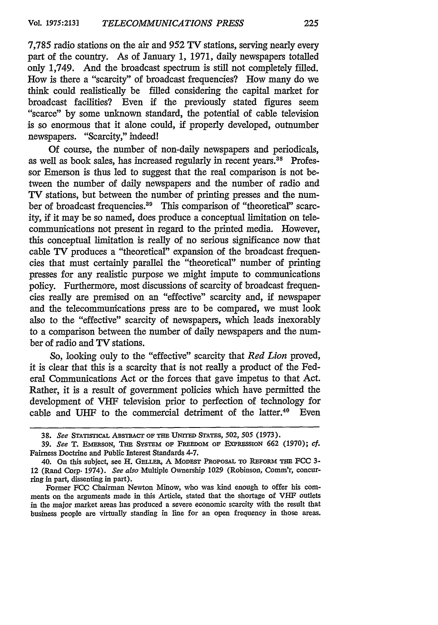7,785 radio stations on the air and 952 TV stations, serving nearly every part of the country. As of January 1, 1971, daily newspapers totalled only 1,749. And the broadcast spectrum is still not completely filled. How is there a "scarcity" of broadcast frequencies? How many do we think could realistically be filled considering the capital market for broadcast facilities? Even **if** the previously stated figures seem "scarce" by some unknown standard, the potential of cable television is so enormous that it alone could, if properly developed, outnumber newspapers. "Scarcity," indeed!

Of course, the number of non-daily newspapers and periodicals, as well as book sales, has increased regularly in recent years.<sup>38</sup> Professor Emerson is thus led to suggest that the real comparison is not between the number of daily newspapers and the number of radio and TV stations, but between the number of printing presses and the number of broadcast frequencies.<sup>39</sup> This comparison of "theoretical" scarcity, if it may be so named, does produce a conceptual limitation on telecommunications not present in regard to the printed media. However, this conceptual limitation is really of no serious significance now that cable TV produces a "theoretical" expansion of the broadcast frequencies that must certainly parallel the "theoretical" number of printing presses for any realistic purpose we might impute to communications policy. Furthermore, most discussions of scarcity of broadcast frequencies really are premised on an "effective" scarcity and, if newspaper and the telecommunications press are to be compared, we must look also to the "effective" scarcity of newspapers, which leads inexorably to a comparison between the number of daily newspapers and the number of radio and TV stations.

So, looking only to the "effective' scarcity that *Red Lion* proved, it is clear that this is a scarcity that is not really a product of the Federal Communications Act or the forces that gave impetus to that Act. Rather, it is a result of government policies which have permitted the development of VHF television prior to perfection of technology for cable and UHF to the commercial detriment of the latter.<sup>40</sup> Even

<sup>38.</sup> See STATISTICAL ABSTRACT OF THE UNITED STATES, 502, 505 (1973).

*<sup>39.</sup> See* T. **EMERSON, THE SYSTEM OF FREEDOM OF EXPRESSION 662 (1970);** *cf.* **Fairness** Doctrine **and Public** Interest **Standards** 4-7.

<sup>40.</sup> On this subject, see H. **GELLEm, A MODEST PROPOSAL TO REFORM THE FCC** 3- 12 (Rand Corp. 1974). *See also* Multiple Ownership 1029 (Robinson, Comm'r, concurring in part, dissenting in part).

Former **FCC** Chairman Newton Minow, who was kind enough to offer his comments on the arguments made in this Article, stated that the shortage of VHF outlets in the major market areas has produced a severe economic scarcity with the result that business people are virtually standing in line **for an open** frequency in those areas.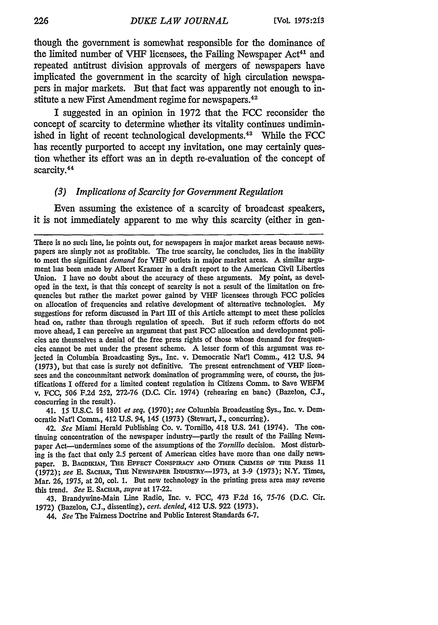though the government is somewhat responsible for the dominance of the limited number of VHF licensees, the Failing Newspaper  $Act<sup>41</sup>$  and repeated antitrust division approvals of mergers of newspapers have implicated the government in the scarcity of high circulation newspapers in major markets. But that fact was apparently not enough to institute a new First Amendment regime for newspapers.<sup>42</sup>

I suggested in an opinion in 1972 that the FCC reconsider the concept of scarcity to determine whether its vitality continues undiminished in light of recent technological developments. $43$  While the FCC has recently purported to accept my invitation, one may certainly question whether its effort was an in depth re-evaluation of the concept of scarcity.<sup>44</sup>

#### *(3) Implications of Scarcity for Government Regulation*

Even assuming the existence of a scarcity of broadcast speakers, it is not immediately apparent to me why this scarcity (either in gen-

41. 15 U.S.C. §§ 1801 *et seq.* (1970); *see* Columbia Broadcasting Sys., Inc. v. Democratic Nat'l Comm., 412 U.S. 94, 145 (1973) (Stewart, **I.,** concurring).

42. *See* Miami Herald Publishing Co. v. Tornillo, 418 U.S. 241 (1974). The continuing concentration of the newspaper industry-partly the result of the Failing Newspaper Act-undermines some of the assumptions of the *Tornillo* decision. Most disturbing is the fact that only **2.5** percent of American cities have more than one daily newspaper. B. **BAGDIKLAN, THE EFFECT CONSPIRACY AND OTHER CRIMES OF THE** PRESS **<sup>11</sup> (1972);** *see* **E.** SACHAR, Tnn **NEWSPAPER INDUSrRY-1973, at 3-9 (1973);** N.Y. Times, Mar. **26, 1975,** at 20, col. **1.** But new technology in the printing press area may reverse this trend. *See* **E.** SACHAR, *supra* at **17-22.**

43. Brandywine-Main Line Radio, Inc. v. **FCC,** 473 **F.2d** 16, 75-76 (D.C. Cir. **1972)** (Bazelon, **C.J,** dissenting), *cert. denied,* 412 U.S. 922 (1973).

*44. See* The Fairness Doctrine and Public Interest Standards 6-7.

There is no such line, he points out, for newspapers in major market areas because newspapers are simply not as profitable. The true scarcity, he concludes, lies in the inability to meet the significant *demand* for VHF outlets in major market areas. A similar argument has been made by Albert Kramer in a draft report to the American Civil Liberties Union. I have no doubt about the accuracy of these arguments. My point, as developed in the text, is that this concept of scarcity is not a result of the limitation on frequencies but rather the market power gained by VHF licensees through **FCC** policies on allocation of frequencies and relative development of alternative technologies. My suggestions for reform discussed in Part III of this Article attempt to meet these policies head on, rather than through regulation of speech. But if such reform efforts do not move ahead, I can perceive an argument that past FCC allocation and development policies are themselves a denial of the free press rights of those whose demand for frequencies cannot be met under the present scheme. A lesser form of this argument was rejected in Columbia Broadcasting Sys., Inc. v. Democratic Nat'l Comm., 412 U.S. 94 (1973), but that case is surely not definitive. The present entrenchment of VHF licensees and the concommitant network domination of programming were, of course, the justifications I offered for a limited content regulation in Citizens Comm. to Save WEFM v. FCC, 506 F.2d 252, 272-76 (D.C. Cir. 1974) (rehearing en bane) (Bazelon, CJ., concurring in the result).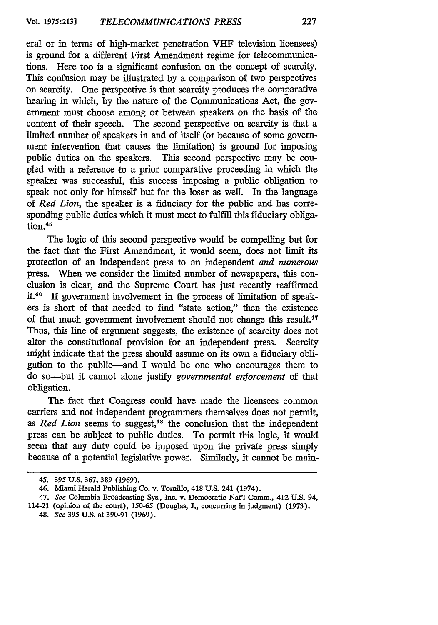eral or in terms of high-market penetration VHF television licensees) is ground for a different First Amendment regime for telecommunications. Here too is a significant confusion on the concept of scarcity. This confusion may be illustrated by a comparison of two perspectives on scarcity. One perspective is that scarcity produces the comparative hearing in which, by the nature of the Communications Act, the government must choose among or between speakers on the basis of the content of their speech. The second perspective on scarcity is that a limited number of speakers in and of itself (or because of some government intervention that causes the limitation) is ground for imposing public duties on the speakers. This second perspective may be coupled with a reference to a prior comparative proceeding in which the speaker was successful, this success imposing a public obligation to speak not only for himself but for the loser as well. In the language of *Red Lion,* the speaker is a fiduciary for the public and has corresponding public duties which it must meet to fulfill this fiduciary obligation. <sup>45</sup>

The logic of this second perspective would be compelling but for the fact that the First Amendment, it would seem, does not limit its protection of an independent press to an independent *and numerous* press. When we consider the limited number of newspapers, this conclusion is clear, and the Supreme Court has just recently reaffirmed it.46 If government involvement in the process of limitation of speakers is short of that needed to find "state action," then the existence of that much government involvement should not change this result.<sup>47</sup> Thus, this line of argument suggests, the existence of scarcity does not alter the constitutional provision for an independent press. Scarcity might indicate that the press should assume on its own a fiduciary obligation to the public-and I would be one who encourages them to do so-but it cannot alone justify *governmental enforcement* of that obligation.

The fact that Congress could have made the licensees common carriers and not independent programmers themselves does not permit, as *Red Lion* seems to suggest,<sup>48</sup> the conclusion that the independent press can be subject to public duties. To permit this logic, it would seem that any duty could be imposed upon the private press simply because of a potential legislative power. Similarly, it cannot be main-

*<sup>45.</sup>* 395 U.S. 367, 389 (1969).

<sup>46.</sup> Miami Herald Publishing Co. v. **Tornillo,** 418 U.S. 241 (1974).

<sup>47.</sup> *See* Columbia Broadcasting Sys., Inc. v. Democratic Nat'l Comm., 412 **U.S.** 94,

<sup>114-21 (</sup>opinion of the court), 150-65 (Douglas, **J.,** concurring in judgment) (1973).

<sup>48.</sup> *See* 395 U.S. at 390-91 (1969).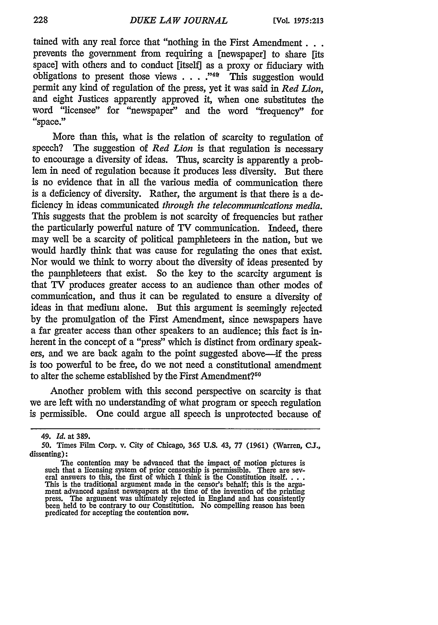tained with any real force that "nothing in the First Amendment... prevents the government from requiring a [newspaper] to share [its space] with others and to conduct [itself] as a proxy or fiduciary with obligations to present those views . **. . .""** This suggestion would permit any kind of regulation of the press, yet it was said in *Red Lion,* and eight Justices apparently approved it, when one substitutes the word "licensee" for "newspaper" and the word "frequency" for "space."

More than this, what is the relation of scarcity to regulation of speech? The suggestion of *Red Lion* is that regulation is necessary to encourage a diversity of ideas. Thus, scarcity is apparently a problem in need of regulation because it produces less diversity. But there is no evidence that in all the various media of communication there is a deficiency of diversity. Rather, the argument is that there is a deficiency in ideas communicated *through the telecommunications media.* This suggests that the problem is not scarcity of frequencies but rather the particularly powerful nature of TV communication. Indeed, there may well be a scarcity of political pamphleteers in the nation, but we would hardly think that was cause for regulating the ones that exist. Nor would we think to worry about the diversity of ideas presented by the pamphleteers that exist. So the key to the scarcity argument is that TV produces greater access to an audience than other modes of communication, and thus it can be regulated to ensure a diversity of ideas in that medium alone. But this argument is seemingly rejected by the promulgation of the First Amendment, since newspapers have a far greater access than other speakers to an audience; this fact is inherent in the concept of a "press" which is distinct from ordinary speakers, and we are back again to the point suggested above-if the press is too powerful to be free, do we not need a constitutional amendment to alter the scheme established by the First Amendment?<sup>50</sup>

Another problem with this second perspective on scarcity is that we are left with no understanding of what program or speech regulation is permissible. One could argue all speech is unprotected because of

*<sup>49.</sup> Id.* at 389.

**<sup>50.</sup>** Times Film Corp. v. City of Chicago, **365 U.S.** 43, **77** (1961) (Warren, **CJ.,** dissenting):

The contention may be advanced that the impact of motion pictures is<br>such that a licensing system of prior censorship is permissible. There are sev-<br>eral answers to this, the first of which I think is the Constitution its This is the traditional argument made in the censor's behalf; this is the argu-ment advanced against newspapers at the time of the invention of the printing press. The argument was ultimately rejected in England and has consistently been held to be contrary to our Constitution. No compelling reason has been predicated for accepting the contention now.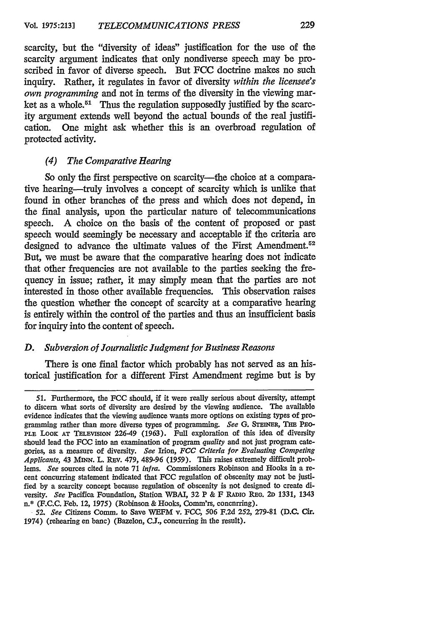scarcity, but the "diversity of ideas" justification for the use of the scarcity argument indicates that only nondiverse speech may be proscribed in favor of diverse speech. But FCC doctrine makes no such inquiry. Rather, it regulates in favor of diversity *within the licensee's own programming* and not in terms of the diversity in the viewing market as a whole. $51$  Thus the regulation supposedly justified by the scarcity argument extends well beyond the actual bounds of the real justification. One might ask whether this is an overbroad regulation of protected activity.

#### *(4) The Comparative Hearing*

So only the first perspective on scarcity—the choice at a comparative hearing-truly involves a concept of scarcity which is unlike that found in other branches of the press and which does not depend, in the final analysis, upon the particular nature of telecommunications speech. A choice on the basis of the content of proposed or past speech would seemingly be necessary and acceptable if the criteria are designed to advance the ultimate values of the First Amendment.<sup>52</sup> But, we must be aware that the comparative hearing does not indicate that other frequencies are not available to the parties seeking the frequency in issue; rather, it may simply mean that the parties are not interested in those other available frequencies. This observation raises the question whether the concept of scarcity at a comparative hearing is entirely within the control of the parties and thus an insufficient basis for inquiry into the content of speech.

#### *D. Subversion of Journalistic Judgment for Business Reasons*

There is one final factor which probably has not served as an historical justification for a different First Amendment regime but is by

**<sup>51.</sup>** Furthermore, the **FCC** should, if it were really serious about diversity, attempt to discern what sorts of diversity are desired **by** the viewing audience. The available evidence indicates that the viewing audience wants more options on existing types of programming rather than more diverse types of programming. *See G. STEINER*, THE PEO-PLE LOOK AT TELEVISION 226-49 (1963). Full exploration of this idea of diversity should lead the **FCC** into an examination of program *quality* and not just program categories, as a measure of diversity. *See* Irion, *FCC Criteria for Evaluating Competing Applicants, 43 MINN. L. REV. 479, 489-96 (1959). This raises extremely difficult prob*lems. *See* sources cited in note 71 *infra.* Commissioners Robinson and Hooks in a recent concurring statement indicated that **FCC** regulation of obscenity may not be justified by a scarcity concept because regulation of obscenity is not designed to create diversity. See Pacifica Foundation, Station WBAI, 32 P & F RADIO REG. 2D 1331, 1343 n.\* (F.C.C. Feb. 12, 1975) (Robinson & Hooks, Comm'rs, concurring).

*<sup>52.</sup> See* Citizens Comm. to Save VEFM v. **FCC,** 506 F.2d 252, 279-81 **(D.C.** Cir. 1974) (rehearing en banc) (Bazelon, **CJ.,** concurring in the result).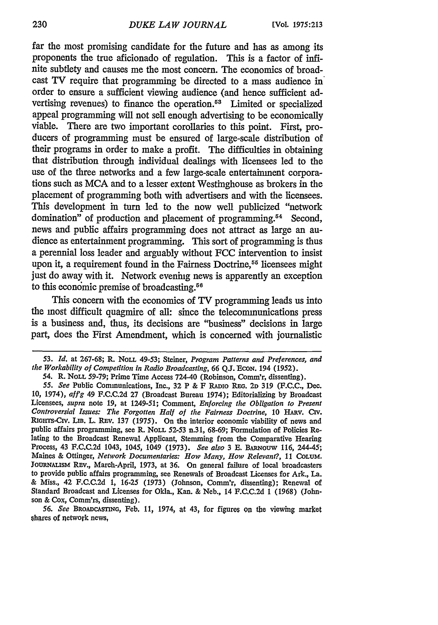far the most promising candidate for the future and has as among its proponents the true aficionado of regulation. This is a factor of infinite subtlety and causes me the most concern. The economics of broadcast TV require that programming be directed to a mass audience in order to ensure a sufficient viewing audience (and hence sufficient advertising revenues) to finance the operation.<sup> $53$ </sup> Limited or specialized appeal programming will not sell enough advertising to be economically viable. There are two important corollaries to this point. First, producers of programming must be ensured of large-scale distribution of their programs in order to make a profit. The difficulties in obtaining that distribution through individual dealings with licensees led to the use of the three networks and a few large-scale entertainment corporations such as MCA and to a lesser extent Westinghouse as brokers in the placement of programming both with advertisers and with the licensees. This development in turn led to the now well publicized "network domination" of production and placement of programming.<sup>54</sup> Second, news and public affairs programming does not attract as large an audience as entertainment programming. This sort of programming is thus a perennial loss leader and arguably without FCC intervention to insist upon it, a requirement found in the Fairness Doctrine,<sup>55</sup> licensees might just do away with it. Network evening news is apparently an exception to this economic premise of broadcasting.<sup>56</sup>

This concern with the economics of TV programming leads us into the most difficult quagmire of all: since the telecommunications press is a business and, thus, its decisions are "business" decisions in large part, does the First Amendment, which is concerned with journalistic

56. *See* BROADCASTING, Feb. **11,** 1974, at 43, for figures on the viewing market shares of network news.

*<sup>53.</sup> Id.* at 267-68; R. NOLL 49-53; Steiner, *Program Patterns and Preferences, and the Workability of Competition in Radio Broadcasting, 66* **Q.J.** ECON. 194 (1952).

<sup>54.</sup> R. NOLL 59-79; Prime Time Access 724-40 (Robinson, Comm'r, dissenting).

*<sup>55.</sup> See* Public Communications, Inc., 32 P & F RAnio REG. 2D 319 (F.C.C., Dec. 10, 1974), *affg* 49 F.C.C.2d 27 (Broadcast Bureau 1974); Editorializing by Broadcast Licensees, *supra note* 19, at 1249-51; Comment, *Enforcing the Obligation to Present Controversial Issues: The Forgotten Half of the Fairness Doctrine,* 10 HARv. Cwy. RIGHTS-CIV. LIB. L. REV. 137 (1975). On the interior economic viability of news and public affairs programming, see R. NoLL 52-53 n.31, 68-69; Formulation of Policies Relating to the Broadcast Renewal Applicant, Stemming from the Comparative Hearing Process, 43 F.C.C.2d 1043, 1045, 1049 (1973). *See also* 3 **E.** BAnNouw 116, 244-45; Maines & Ottinger, *Network Documentaries: How Many, How Relevant?,* 11 COLUM. JouRNAism REv., March-April, 1973, at 36. On general failure of local broadcasters to provide public affairs programming, see Renewals of Broadcast Licenses for Ark., La. & Miss., 42 F.C.C.2d 1, 16-25 (1973) (Johnson, Comm'r, dissenting); Renewal of Standard Broadcast and Licenses for Okla., Kan. & Neb., 14 F.C.C.2d 1 (1968) (Johnson & Cox, Comm'rs, dissenting).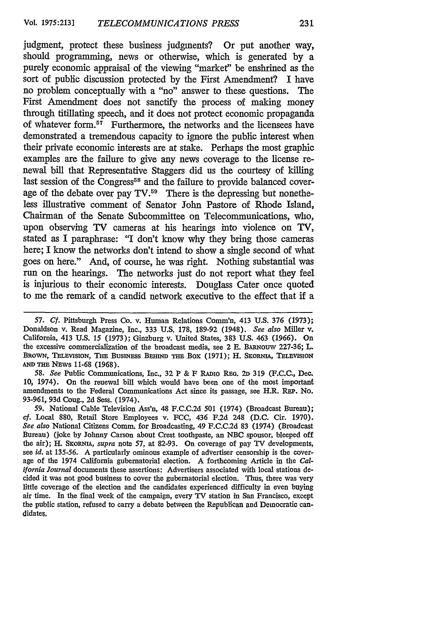judgment, protect these business judgments? Or put another way, should programming, news or otherwise, which is generated by a purely economic appraisal of the viewing "market" be enshrined as the sort of public discussion protected by the First Amendment? I have no problem conceptually with a "no" answer to these questions. The First Amendment does not sanctify the process of making money through titillating speech, and it does not protect economic propaganda of whatever form.<sup>57</sup> Furthermore, the networks and the licensees have demonstrated a tremendous capacity to ignore the public interest when their private economic interests are at stake. Perhaps the most graphic examples are the failure to give any news coverage to the license renewal bill that Representative Staggers did us the courtesy of killing last session of the Congress<sup>58</sup> and the failure to provide balanced coverage of the debate over pay **TV.59** There is the depressing but nonetheless illustrative comment of Senator John Pastore of Rhode Island, Chairman of the Senate Subcommittee on Telecommunications, who, upon observing TV cameras at his hearings into violence on TV, stated as I paraphrase: "I don't know why they bring those cameras here; I know the networks don't intend to show a single second of what goes on here." And, of course, he was right. Nothing substantial was run on the hearings. The networks just do not report what they feel is injurious to their economic interests. Douglass Cater once quoted to me the remark of a candid network executive to the effect that if a

*58. See* Public Communications, Inc., 32 P & F **RADIO RE. 2D 319 (F.C.C.,** Dec. 10, 1974). On the reuewal bill which would have been one of the most important amendments to the Federal Communications Act since its passage, see H.R. REP. No. **93-961, 93d** Cong., **2d** Sess. (1974).

**59.** National Cable Television Ass'n, 48 **F.C.C.2d 501** (1974) (Broadcast Bureau); **cf.** Local **880,** Retail Store Employees v. **FCC,** 436 **F.2d** 248 **(D.C.** Cir. **1970).** *See also* National Citizens Comm. for Broadcasting, 49 **F.C.C.2d 83** (1974) (Broadcast Bureau) (joke **by** Johnny Carson about Crest toothpaste, an **NBC** sponsor, bleeped off the air); H. SKORNIA, *supra* note 57, at 82-93. On coverage of pay TV developments, see *id.* at 135-56. **A** particularly ominous example of advertiser censorship is the cover- age of the 1974 California gubernatorial election. **A** forthcoming Article in the *California Journal* documents these assertions: Advertisers associated with local stations decided it was not good business to cover the gubernatorial election. Thus, there was very little coverage of the election and the candidates experienced difficulty in even buying air time. In the final week of the campaign, every TV station in San Francisco, except the public station, refused to carry a debate between the Republican and Democratic candidates,

<sup>57.</sup> Cf. Pittsburgh Press Co. v. Human Relations Comm'n, 413 U.S. 376 (1973); Donaldson v. Read Magazine, Inc., 333 U.S. 178, 189-92 (1948). *See also* Miller v. California, 413 U.S. 15 (1973); Ginzburg v. United States, 383 U.S. 463 (1966). On the excessive commercialization of the broadcast media, see 2 E. BARNouw 227-36; L. BRowN, **TELEvISION, THm** BusiNEss **BEHID THn** Box **(1971);** H. SKORNiA, **TELEVISION** AND THE NEWS 11-68 (1968).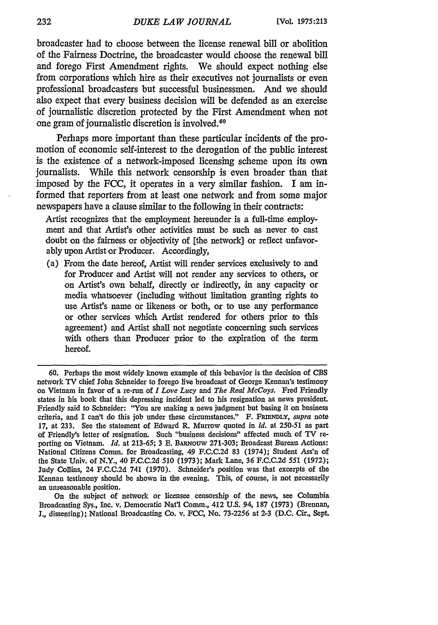broadcaster had to choose between the license renewal bill or abolition of the Fairness Doctrine, the broadcaster would choose the renewal bill and forego First Amendment rights. We should expect nothing else from corporations which hire as their executives not journalists or even professional broadcasters but successful businessmen. *And* we should also expect that every business decision will be defended as an exercise of journalistic discretion protected by the First Amendment when not one gram of journalistic discretion is involved. <sup>60</sup>

Perhaps more important than these particular incidents of the promotion of economic self-interest to the derogation of the public interest is the existence of a network-imposed licensing scheme upon its own journalists. While this network censorship is even broader than that imposed by the FCC, it operates in a very similar fashion. I am informed that reporters from at least one network and from some major newspapers have a clause similar to the following in their contracts:

Artist recognizes that the employment hereunder is a ful-time employment and that Artist's other activities must be such as never to cast doubt on the fairness or objectivity of [the network] or reflect unfavorably upon Artist or Producer. Accordingly,

(a) From the date hereof, Artist will render services exclusively to and for Producer and Artist will not render any services to others, or on Artist's own behalf, directly or indirectly, in any capacity or media whatsoever (including without limitation granting rights to use Artist's name or likeness or both, or to use any performance or other services which Artist rendered for others prior to this agreement) and Artist shall not negotiate concerning such services with others than Producer prior to the expiration of the term hereof.

On the subject of network or licensee censorship of the news, see Columbia Broadcasting Sys., Inc. v. Democratic Nat'l Comm., 412 U.S. 94, 187 (1973) (Brennan, **I.,** dissenting); National Broadcasting Co. v. FCC, No. 73-2256 at 2-3 (D.C. Cir., Sept.

<sup>60.</sup> Perhaps the most widely known example of this behavior is the decision of CBS network **TV** chief John Schneider to forego live broadcast of George Kennan's testimony on Vietnam in favor of a re-run of *I Love Lucy and The Real McCoys.* Fred Friendly states in his book that this depressing incident led to his resignation as news president. Friendly said to Schneider: "You are making a news judgment but basing it on business criteria, and I can't do this job under these circumstances." F. FRIENDLY, *supra* note 17, at 233. See the statement of Edward R. Murrow quoted in *id.* at 250-51 as part of Friendly's letter of resignation. Such "business decisions" affected much of TV reporting on Vietnam. *Id.* at 213-65; 3 **E.** BARNouw 271-303; Broadcast Bureau Actions: National Citizens Comm. for Broadcasting, 49 F.C.C.2d 83 (1974); Student Ass'n of the State Univ. of N.Y., 40 F.C.C.2d 510 (1973); Mark Lane, 36 F.C.C.2d 551 (1972); Judy Collins, 24 F.C.C.2d 741 (1970). Schneider's position was that excerpts of the Kennan testimony should be shown in the evening. This, of course, is not necessarily an unreasonable position.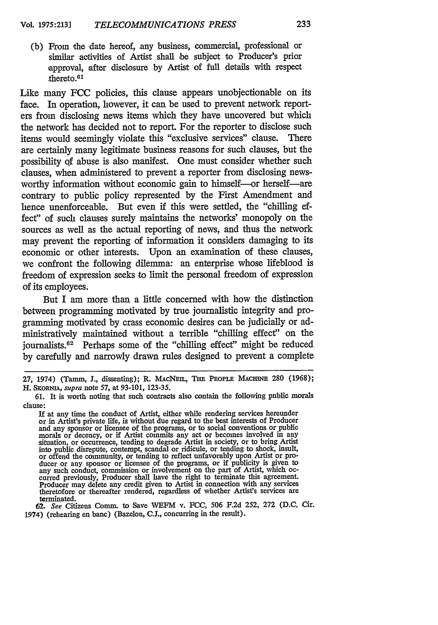**(b)** From the date hereof, any business, commercial, professional or similar activities of Artist shall be subject to Producer's prior approval, after disclosure by Artist of full details with respect thereto.<sup>61</sup>

Like many **FCC** policies, this clause appears unobjectionable on its face. In operation, however, it can be used to prevent network reporters from disclosing news items which they have uncovered but which the network has decided not to report. For the reporter to disclose such items would seemingly violate this "exclusive services" clause. There are certainly many legitimate business reasons for such clauses, but the possibility **qf** abuse is also manifest. One must consider whether such clauses, when administered to prevent a reporter from disclosing newsworthy information without economic gain to himself-or herself-are contrary to public policy represented by the First Amendment and hence unenforceable. But even if this were settled, the "chilling effect" of such clauses surely maintains the networks' monopoly on the sources as well as the actual reporting of news, and thus the network may prevent the reporting of information it considers damaging to its economic or other interests. Upon an examination of these clauses, we confront the following dilemma: an enterprise whose lifeblood is freedom of expression seeks to limit the personal freedom of expression of its employees.

But I am more than a little concerned with how the distinction between programming motivated by true journalistic integrity and programming motivated by crass economic desires can be judicially or administratively maintained without a terrible "chiling effect" on the journalists.62 Perhaps some of the "chilling effect" might be reduced by carefully and narrowly drawn rules designed to prevent a complete

**62.** *See* Citizens Comm. to Save WEFM v. FCC, 506 F.2d 252, **272** (D.C. Cir. 1974) (rehearing en bane) (Bazelon, **CJ.,** concurring in the result).

<sup>27, 1974) (</sup>Tamm, J., dissenting); R. MACNEIL, THE PEOPLE MACHINE 280 (1968); H. SKORNIA, *supra* note 57, at 93-101, 123-35.

**<sup>61.</sup>** It is worth noting that such contracts also contain the following public morals clause:

If at any time the conduct of Artist, either while rendering services hereunder or in Artist's private life, is without due regard to the best interests of Producer and any sponsor or licensee of the programs, or to social conventions or public morals or decency, or if Artist commits any act or becomes involved in any situation, or occurrence, tending to degrade Artist in society, or to bring Artist into public disrepute, contempt, scandal or ridicule, or tending to shock, insult, or offend the community, or tending to reflect unfavorably upon Artist or pro-ducer or any sponsor or licensee of the programs, or if publicity is given to any such conduct, commission or involvement on the part of Artist, which oc- curred previously, Producer shall have the right to terminate this agreement. Producer may delete any credit given to Artist in connection with any services theretofore or thereafter rendered, regardless of whether Artist's services are terminated.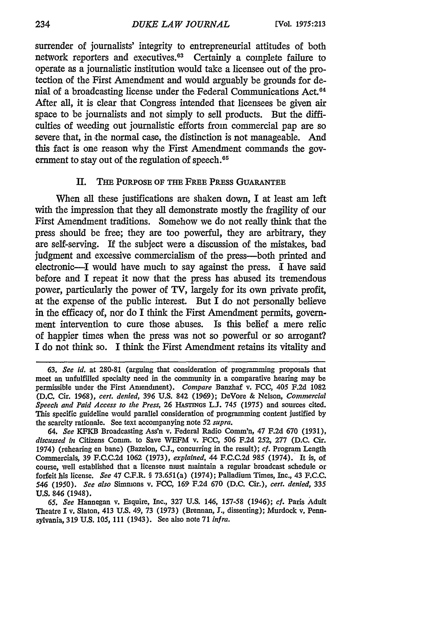surrender of journalists' integrity to entrepreneurial attitudes of both network reporters and executives.<sup>63</sup> Certainly a complete failure to operate as a journalistic institution would take a licensee out of the protection of the First Amendment and would arguably be grounds for denial of a broadcasting license under the Federal Communications Act.<sup>64</sup> After all, it is clear that Congress intended that licensees be given air space to be journalists and not simply to sell products. But the difficulties of weeding out journalistic efforts from commercial pap are so severe that, in the normal case, the distinction is not manageable. And this fact is one reason why the First Amendment commands the government to stay out of the regulation of speech.<sup>65</sup>

## II. **THE** PURPOSE OF THE FREE PRESS GUARANTEE

When all these justifications are shaken down, I at least am left with the impression that they all demonstrate mostly the fragility of our First Amendment traditions. Somehow we do not really think that the press should be free; they are too powerful, they are arbitrary, they are self-serving. If the subject were a discussion of the mistakes, bad judgment and excessive commercialism of the press-both printed and electronic-I would have much to say against the press. **I** have said before and I repeat it now that the press has abused its tremendous power, particularly the power of TV, largely for its own private profit, at the expense of the public interest. But I do not personally believe in the efficacy of, nor do I think the First Amendment permits, government intervention to cure those abuses. Is this belief a mere relic of happier times when the press was not so powerful or so arrogant? I do not think so. I think the First Amendment retains its vitality and

<sup>63.</sup> *See id.* at 280-81 (arguing that consideration of programming proposals that meet an unfulfilled specialty need in the community in a comparative hearing may be permissible under the First Amendment). *Compare* Banzhaf v. FCC, 405 F.2d 1082 (D.C. Cir. 1968), *cert. denied,* 396 U.S. 842 (1969); DeVore & Nelson, *Commercial Speech and Paid Access to the Press,* **26 HASTINGs L.J** 745 (1975) and sources cited. This specific guideline would parallel consideration of programming content justified by the scarcity rationale. See text accompanying note **52** *supra.*

*<sup>64.</sup> See* KFKB Broadcasting Ass'n v. Federal Radio Comm'n, 47 F.2d 670 (1931), *discussed in* Citizens Comm. to Save WEFM v. FCC, 506 F.2d 252, **277** (D.C. Cir. 1974) (rehearing en bane) (Bazelon, CJ., concurring in the result); *cf.* Program Length Commercials, 39 F.C.C.2d 1062 (1973), *explained,* 44 F.C.C.2d 985 (1974). It is, of course, well established that a licensee must maintain a regular broadcast schedule or forfeit his license. *See* 47 C.F.R. § 73.651 (a) (1974); Palladium Times, Inc., 43 F.C.C. *546 (1950). See also* Simmons v. FCC, 169 F.2d 670 (D.C. Cir.), *cert. denied,* 335 **U.S.** 846 (1948).

*<sup>65.</sup> See* Hannegan **v.** Esquire, Inc., **327 U.S.** 146, 157-58 (1946); *cf.* Paris Adult Theatre I v. Slaton, 413 **U.S.** 49, **73 (1973)** (Brennan, **J.,** dissenting); Murdock v. Pennsylvania, **319 U.S. 105,** 111 (1943). See also note **71** *infra.*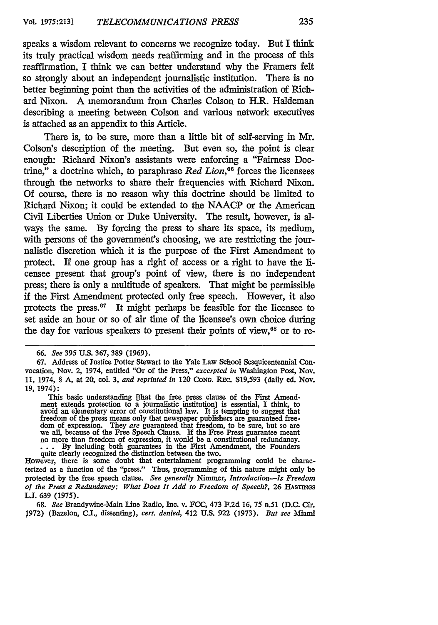speaks a wisdom relevant to concerns we recognize today. But I think its truly practical wisdom needs reaffirming and in the process of this reaffirmation, I think we can better understand why the Framers felt so strongly about an independent journalistic institution. There is no better beginning point than the activities of the administration of Richard Nixon. **A** memorandum from Charles Colson to H.R. Haldeman describing a meeting between Colson and various network executives is attached as an appendix to this Article.

There is, to be sure, more than a little bit of self-serving in Mr. Colson's description of the meeting. But even so, the point is clear enough: Richard Nixon's assistants were enforcing a "Fairness Doctrine," a doctrine which, to paraphrase *Red Lion,"6* forces the licensees through the networks to share their frequencies with Richard Nixon. Of course, there is no reason why this doctrine should be limited to Richard Nixon; it could be extended to the NAACP or the American Civil Liberties Union or Duke University. The result, however, is always the same. By forcing the press to share its space, its medium, with persons of the government's choosing, we are restricting the journalistic discretion which it is the purpose of the First Amendment to protect. **If** one group has a right of access or a right to have the licensee present that group's point of view, there is no independent press; there is only a multitude of speakers. That might be permissible if the First Amendment protected only free speech. However, it also protects the press. $67$  It might perhaps be feasible for the licensee to set aside an hour or so of air time of the licensee's own choice during the day for various speakers to present their points of view, $^{68}$  or to re-

*<sup>66.</sup> See* 395 U.S. 367, 389 (1969).

<sup>67.</sup> Address of Justice Potter Stewart to the Yale Law School Sesquicentennial Convocation, Nov. 2, 1974, entitled "Or of the Press," *excerpted in* Washington Post, Nov. 11, 1974, § A, at 20, col. 3, *and reprinted in* 120 CONo. Rc. S19,593 (daily ed. Nov. 19, 1974):

This basic understanding [that the free press clause of the First Amendment extends protection to a journalistic institution] is essential, I think, to avoid an elementary error of constitutional law. It is tempting to suggest that freedom of the press means only that newspaper publishers are guaranteed freedom of expression. They are guaranteed that freedom, to be sure, but so are we all, because of the Free Speech Clause. If the Free Press guarante no more than freedom of expression, it would be a constitutional redundancy.<br>
... By including both guarantees in the First Amendment, the Founders quite clearly recognized the distinction between the two.

However, there is some doubt that entertainment programming could be characterized as a function of the "press." Thus, programming of this nature might only be protected by the free speech clause. *See generally* Nimmer, *Introduction-Is Freedom of the Press a Redundancy: What Does It Add to Freedom of Speech?,* **26 HAsTmGs L.J. 639** (1975).

**<sup>68.</sup>** *See* Brandywine-Main Line Radio, Inc. v. **FCC,** 473 F.2d 16, 75 n.51 (D.C. Cir. 1972) (Bazelon, **CJ.,** dissenting), *cert. denied,* 412 **U.S.** 922 (1973). *But see* Miami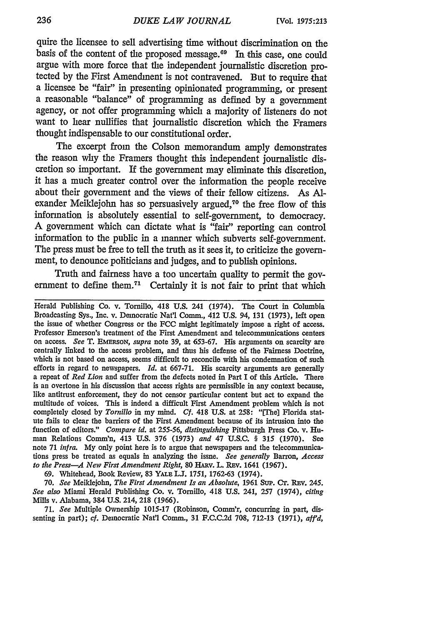quire the licensee to sell advertising time without discrimination on the basis of the content of the proposed message.<sup>69</sup> In this case, one could argue with more force that the independent journalistic discretion protected by the First Amendment is not contravened. But to require that a licensee be "fair" in presenting opinionated programming, or present a reasonable "balance" of programming as defined by a government agency, or not offer programming which a majority of listeners do not want to hear nullifies that journalistic discretion which the Framers thought indispensable to our constitutional order.

The excerpt from the Colson memorandum amply demonstrates the reason why the Framers thought this independent journalistic discretion so important. If the government may eliminate this discretion, it has a much greater control over the information the people receive about their government and the views of their fellow citizens. As Alexander Meiklejohn has so persuasively argued,70 the free flow of this information is absolutely essential to self-government, to democracy. A government which can dictate what is "fair" reporting can control information to the public in a manner which subverts self-government. The press must be free to tell the truth as it sees it, to criticize the government, to denounce politicians and judges, and to publish opinions.

Truth and fairness have a too uncertain quality to permit the government to define them.<sup>71</sup> Certainly it is not fair to print that which

Herald Publishing Co. v. Tornillo, 418 U.S. 241 (1974). The Court in Columbia Broadcasting Sys., Inc. v. Democratic Nat'l Comm., 412 **U.S.** 94, 131 (1973), left open the issue of whether Congress or the **FCC** might legitimately impose a right of access. Professor Emerson's treatment of the First Amendment and telecommunications centers on access. *See* T. EMERSON, *supra* note 39, at 653-67. His arguments on scarcity are centrally linked to the access problem, and thus his defense of the Fairness Doctrine, which is not based on access, seems difficult to reconcile with his condemnation of such efforts in regard to newspapers. *Id.* at 667-71. His scarcity arguments are generally a repeat of *Red Lion* and suffer from the defects noted in Part I of this Article. There is an overtone in his discussion that access rights are permissible in any context because, **like** antitrust enforcement, they do not censor particular content but act to expand the multitude of voices. This is indeed a difficult First Amendment problem which is not completely closed by *Tornillo* in my mind. *Cf.* 418 U.S. at 258: "The] Florida statute fails to clear the barriers of the First Amendment because of its intrusion into the function of editors." *Compare id.* at *255-56, distinguishing* Pittsburgh Press Co. v. Hu- man Relations Comm'n, 413 **U.S. 376** (1973) *and* 47 U.S.C. § 315 (1970). See note 71 *infra.* My only point here is to argue that newspapers and the telecommunications press be treated as equals in analyzing the issue. *See generally* Barron, *Access* to the Press-A New First Amendment Right, 80 HARV. L. REV. 1641 (1967).

69. Whitehead, Book Review, 83 **YALE L".** 1751, 1762-63 (1974).

70. *See* Meiklejohn, *The First Amendment Is an Absolute,* 1961 *Sup.* **Or.** Rv. 245. *See also* Miami Herald Publishing Co. v. Tornillo, 418 **U.S.** 241, **257** (1974), *citing* Mills v. Alabama, **384 U.S.** 214, **218** (1966).

71. *See* Multiple Ownership 1015-17 (Robinson, Comm'r, concurring in part, dissenting in part); *cf.* Democratic Nat'l Comm., 31 **F.C.C.2d** 708, 712-13 (1971), *affd,*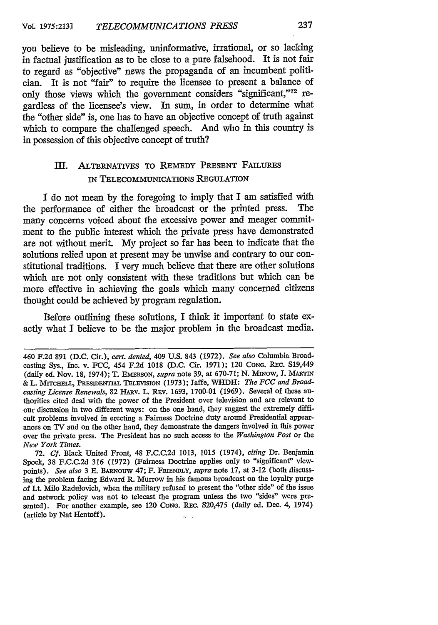you believe to be misleading, uninformative, irrational, or so lacking in factual justification as to be close to a pure falsehood. It is not fair to regard as "objective" news the propaganda of an incumbent politician. It is not "fair" to require the licensee to present a balance of only those views which the government considers "significant."<sup>72</sup> regardless of the licensee's view. In sum, in order to determine what the "other side" is, one has to have an objective concept of truth against which to compare the challenged speech. And who in this country is in possession of this objective concept of truth?

# Il'. **ALTERNATIVES TO REMEDY** PRESENT FAILURES IN **TELECOMMUNICATIONS** REGULATION

I do not mean by the foregoing to imply that I am satisfied with the performance of either the broadcast or the printed press. The many concerns voiced about the excessive power and meager commitment to the public interest which the private press have demonstrated are not without merit. My project so far has been to indicate that the solutions relied upon at present may be unwise and contrary to our constitutional traditions. I very much believe that there are other solutions which are not only consistent with these traditions but which can be more effective in achieving the goals which many concerned citizens thought could be achieved by program regulation.

Before outlining these solutions, I think it important to state exactly what I believe to be the major problem in the broadcast media.

<sup>460</sup> F.2d 891 (D.C. Cir.), *cert. denied,* 409 U.S. 843 (1972). *See also* Columbia Broadcasting Sys., Inc. v. FCC, 454 **F.2d** 1018 (D.C. Cir. 1971); 120 CoNG. REc. S19,449 (daily ed. Nov. 18, 1974); T. EMERSON, *supra* note 39, at 670-71; N. MiNow, **J. MARTIN &** L. MITCHELL, **PRESmENTAL** TELEvISION (1973); Jaffe, VHDH: *The FCC and Broadcasting License Renewals,* 82 HARv. L. REv. 1693, 1700-01 (1969). Several of these authorities cited deal with the power of the President over television and are relevant to our discussion in two different ways: on the one hand, they suggest the extremely difficult problems involved in erecting a Fairness Doctrine duty around Presidential appearances on TV and on the other hand, they demonstrate the dangers involved in this power over the private press. The President has no such access to the *Washington Post* or the *New York Times.*

<sup>72.</sup> *Cf.* Black United Front, 48 F.C.C.2d 1013, 1015 (1974), *citing* Dr. Benjamin Spock, 38 F.C.C.2d 316 (1972) (Fairness Doctrine applies only to "significant" viewpoints). *See also* 3 E. BARNOUW 47; F. FRIENDLY, *supra* note 17, at 3-12 (both discussing the problem facing Edward R. Murrow in his famous broadcast on the loyalty purge of Lt. Milo Radulovich, when the military refused to present the "other side" of the issue and network policy was not to telecast the program unless the two "sides" were presented). For another example, see 120 CoNG. REc. S20,475 (daily ed. Dec. 4, 1974) (article by Nat Hentoff).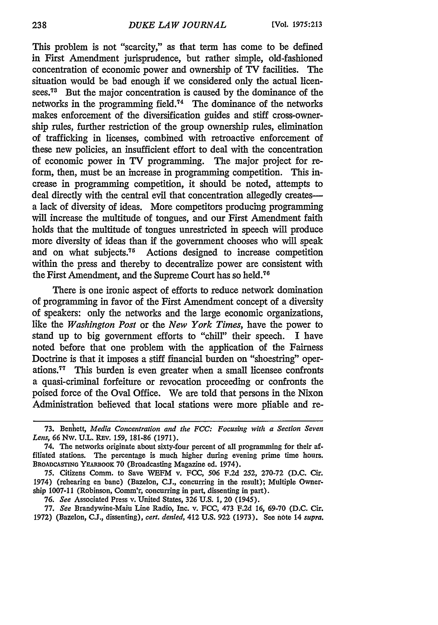This problem is not "scarcity," as that term has come to be defined in First Amendment jurisprudence, but rather simple, old-fashioned concentration of economic power and ownership of TV facilities. The situation would be bad enough if we considered only the actual licensees.<sup>73</sup> But the major concentration is caused by the dominance of the networks in the programming field.<sup>74</sup> The dominance of the networks makes enforcement of the diversification guides and stiff cross-ownership rules, further restriction of the group ownership rules, elimination of trafficking in licenses, combined with retroactive enforcement of these new policies, an insufficient effort to deal with the concentration of economic power in TV programming. The major project for reform, then, must be an increase in programming competition. This increase in programming competition, it should be noted, attempts to deal directly with the central evil that concentration allegedly createsa lack of diversity of ideas. More competitors producing programming will increase the multitude of tongues, and our First Amendment faith holds that the multitude of tongues unrestricted in speech will produce more diversity of ideas than if the government chooses who will speak and on what subjects.<sup>75</sup> Actions designed to increase competition within the press and thereby to decentralize power are consistent with the First Amendment, and the Supreme Court has so held.<sup>76</sup>

There is one ironic aspect of efforts to reduce network domination of programming in favor of the First Amendment concept of a diversity of speakers: only the networks and the large economic organizations, like the *Washington Post* or the *New York Times*, have the power to stand up to big government efforts to "chill" their speech. I have noted before that one problem with the application of the Fairness Doctrine is that it imposes a stiff financial burden on "shoestring" operations.77 This burden is even greater when a small licensee confronts a quasi-criminal forfeiture or revocation proceeding or confronts the poised force of the Oval Office. We are told that persons in the Nixon Administration believed that local stations were more pliable and re-

**<sup>73.</sup>** Benhett, *Media Concentration and the FCC: Focusing with a Section Seven* Lens, 66 Nw. U.L. REv. 159, 181-86 (1971).

<sup>74.</sup> The networks originate about sixty-four percent of all programming for their affiliated stations. The percentage is much higher during evening prime time hours. BROADCASTING YEARBOOK 70 (Broadcasting Magazine ed. 1974).

<sup>75.</sup> Citizens Comm. to Save WEFM v. FCC, 506 F.2d 252, 270-72 (D.C. Cir. 1974) (rehearing en bane) (Bazelon, CJ., concurring in the result); Multiple Ownership 1007-11 (Robinson, Comm'r, concurring in part, dissenting in part).

*<sup>76.</sup> See* Associated Press v. United States, **326 U.S. 1,** 20 (1945).

<sup>77.</sup> *See* Brandywine-Main Line Radio, Inc. v. FCC, 473 F.2d 16, **69-70 (D.C.** Cir. 1972) (Bazelon, C.J., dissenting), *cert. denied,* 412 U.S. 922 (1973). See note 14 *supra.*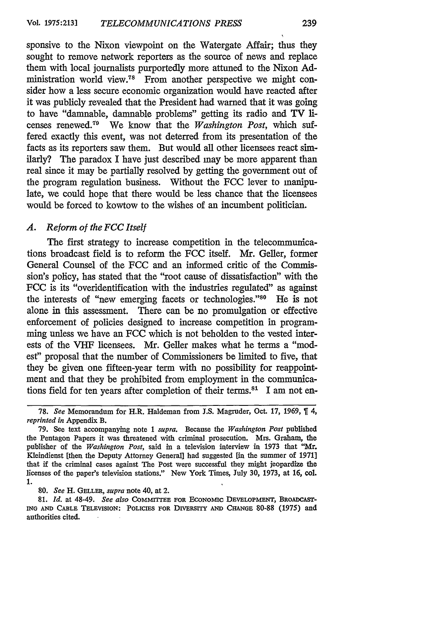sponsive to the Nixon viewpoint on the Watergate Affair; thus they sought to remove network reporters as the source of news and replace them with local journalists purportedly more attuned to the Nixon Administration world view.<sup>78</sup> From another perspective we might consider how a less secure economic organization would have reacted after it was publicly revealed that the President had warned that it was going to have "damnable, damnable problems" getting its radio and TV **I:** censes renewed.79 We know that the *Washington Post,* which suffered exactly this event, was not deterred from its presentation of the facts as its reporters saw them. But would all other licensees react similarly? The paradox I have just described may be more apparent than real since it may be partially resolved by getting the government out of the program regulation business. Without the FCC lever to manipulate, we could hope that there would be less chance that the licensees would be forced to kowtow to the wishes of an incumbent politician.

#### *A. Reform of the FCC Itself*

The first strategy to increase competition in the telecommunications broadcast field is to reform the FCC itself. **Mr.** Geller, former General Counsel of the FCC and an informed critic of the Commission's policy, has stated that the "root cause of dissatisfaction" with the FCC is its "overidentification with the industries regulated" as against the interests of "new emerging facets or technologies."80 He is not alone in this assessment. There can be no promulgation or effective enforcement of policies designed to increase competition in programming unless we have an FCC which is not beholden to the vested interests of the **VHF** licensees. Mr. Geller makes what he terms a "modest" proposal that the number of Commissioners be limited to five, that they be given one fifteen-year term with no possibility for reappointment and that they be prohibited from employment in the communications field for ten years after completion of their terms.<sup>81</sup> I am not en-

80. *See* H. **GELLER,** *supra* note 40, at 2.

81. *Id.* at 48-49. See also COMMITTEE FOR ECONOMIC DEVELOPMENT, BROADCAST-ING AND CABLE TELEVISION: POLICIES FOR DIVERSITY AND CHANGE 80-88 (1975) and authorities cited.

**<sup>78.</sup>** *See* Memorandum for H.R. Haldeman from J.S. Magruder, Oct. 17, 1969, **q** 4, *reprinted in* Appendix B.

<sup>79.</sup> See text accompanying note 1 *supra.* Because the *Washington Post* published the Pentagon Papers it was threatened with criminal prosecution. Mrs. Graham, the publisher of the *Washington Post,* said in a television interview in 1973 that "Mr. Kleindienst [then the Deputy Attorney General] had suggested [in the summer of 1971] that if the criminal cases against The Post were successful they might jeopardize the licenses of the paper's television stations." New York Times, July 30, 1973, at 16, col. 1.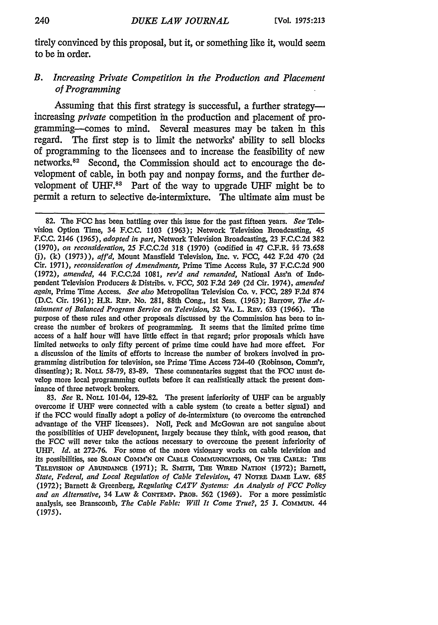tirely convinced by this proposal, but it, or something like it, would seem to be in order.

## *B. Increasing Private Competition in the Production and Placement of Programming*

Assuming that this first strategy is successful, a further strategyincreasing *private* competition in the production and placement of programming-comes to mind. Several measures may be taken in this regard. The first step is to limit the networks' ability to sell blocks of programming to the licensees and to increase the feasibility of new networks.<sup>82</sup> Second, the Commission should act to encourage the development of cable, in both pay and nonpay forms, and the further development of UHF.<sup>83</sup> Part of the way to upgrade UHF might be to permit a return to selective de-intermixture. The ultimate aim must be

**83.** *See* R. NOLL 101-04, 129-82. The present inferiority of **UHF** can be arguably overcome if **UHF** were connected with a cable system (to create a better signal) and if the **FCC** would finally adopt a policy of de-intermixture (to overcome the entrenched advantage of the VIF licensees). Noll, Peck and McGowan are not sanguine about the possibilities of **UHF** development, largely because they think, with good reason, that the FCC will never take the actions necessary to overcome the present inferiority of **UHF.** *Id.* at 272-76. For some of the more visionary works on cable television and its possibilities, see SLOAN COMM'N ON CABLE COMMUNICATIONS, ON THE CABLE: THE **TELEVISION** oF AUNDANcE **(1971);** R. Smrr, Tim **WmiED NATION (1972);** Barnett, *State, Federal, and Local Regulation of Cable Television,* 47 NoTRsE **DAME LAW.** 685 (1972); Barnett **&** Greenberg, *Regulating CATV Systems: An Analysis of FCC Policy and an Alternative,* 34 **LAw & CONTEMP.** PROB. **562** (1969). For a more pessimistic analysis, see Branscomb, *The Cable Fable: Will It Come True?,* **25** *J..COMMuN.* 44 (1975).

**<sup>82.</sup>** The **FCC** has been battling over this issue for the past fifteen years. *See* Television Option Time, 34 F.C.C. 1103 (1963); Network Television Broadcasting, 45 F.C.C. 2146 *(1965), adopted in part,* Network Television Broadcasting, **23** F.C.C.2d **382** (1970), *on reconsideration, 25* F.C.C.2d 318 (1970) (codified in 47 C.F.R. §§ 73.658 **(j),** (k) (1973)), *affd,* Mount Mansfield Television, Inc. **v. FCC,** 442 F.2d 470 (2d Cir. 1971), *reconsideration of Amendments,* Prime Time Access Rule, 37 F.C.C.2d **900** (1972), *amended,* 44 F.C.C.2d 1081, *rev'd and remanded,* National Ass'n of Independent Television Producers & Distribs. v. FCC, 502 **F.2d** 249 **(2d** Cir. 1974), *amended again,* Prime Time Access. *See also* Metropolitan Television Co. v. FCC, **289 F.2d 874 (D.C.** Cir. 1961); H.R. REP. No. 281, 88th Cong., 1st Sess. (1963); Barrow, *The At*tainment of Balanced Program Service on Television, 52 VA. L. REV. 633 (1966). The purpose of these rules and other proposals discussed by the Commission has been to increase the number of brokers of programming. It seems that the limited prime time access of a half hour will have little effect in that regard; prior proposals which have limited networks to only **fifty** percent of prime time could have had more effect. For a discussion of the limits of efforts to increase the number of brokers involved in programming distribution for television, see Prime Time Access 724-40 (Robinson, Comm'r, dissenting); R. No<sub>LL</sub> 58-79, 83-89. These commentaries suggest that the FCC must develop more local programming outlets before it can realistically attack the present dominance of three network brokers.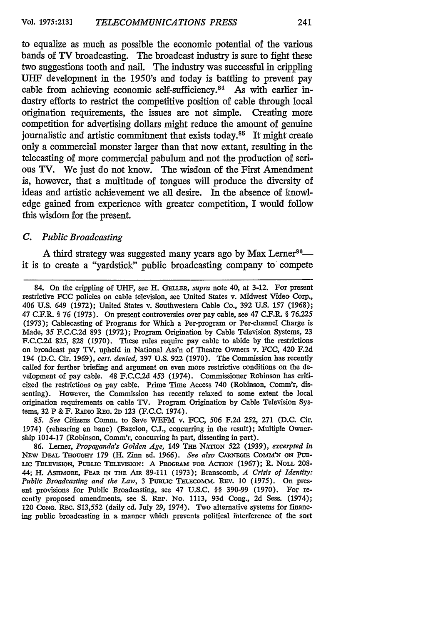to equalize as much as possible the economic potential of the various bands of TV broadcasting. The broadcast industry is sure to fight these two suggestions tooth and nail. The industry was successful in crippling UHF development in the 1950's and today is battling to prevent pay cable from achieving economic self-sufficiency. $84$  As with earlier industry efforts to restrict the competitive position of cable through local origination requirements, the issues are not simple. Creating more competition for advertising dollars might reduce the amount of genuine journalistic and artistic commitment that exists today.<sup>85</sup> It might create only a commercial monster larger than that now extant, resulting in the telecasting of more commercial pabulum and not the production of serious TV. We just do not know. The wisdom of the First Amendment is, however, that a multitude of tongues will produce the diversity of ideas and artistic achievement we all desire. In the absence of knowledge gained from experience with greater competition, I would follow this wisdom for the present.

#### *C. Public Broadcasting*

A third strategy was suggested many ycars ago by Max Lerner<sup>86\_</sup> it is to create a "yardstick" public broadcasting company to compete

*85. See* Citizens Comm. to Save WEFM v. FCC, 506 F.2d 252, 271 (D.C. Cir. 1974) (rehearing en bane) (Bazelon, C.J., concurring in the result); Multiple Ownership 1014-17 (Robinson, Comm'r, concurring in part, dissenting in part).

**86.** Lerner, *Propaganda's Golden Age,* 149 ThE NATION 522 (1939), *excerpted in* **NEW** DEAL THOUGHT **179** (H. Zinn ed. **1966).** *See also* CARNEGIE *COMM'N* **ON PUB-LIC** TELEvIsION, PuBLIc TELEvISION: A PROGRAM **FOR** AcTION **(1967);** R. **NOLL 208-** 44; H. ASHMORE, FEAR IN THE AIR 89-111 (1973); Branscomb, *A Crisis of Identity: Public Broadcasting and the Law,* 3 PUBLIc TELECOMM. REv. 10 (1975). On present provisions for Public Broadcasting, see 47 U.S.C. §§ 390-99 (1970). For recently proposed amendments, see S. REP. No. 1113, 93d Cong., 2d Sess. (1974); 120 **CONG.** REc. S13,552 (daily ed. July 29, 1974). Two alternative systems for financing public broadcasting in a manner which prevents political ihterference of the sort

<sup>84.</sup> On the crippling of UHF, see H. **GELLER,** *supra* note 40, at 3-12. For present restrictive FCC policies on cable television, see United States v. Midwest Video Corp., 406 U.S. 649 (1972); United States v. Southwestern Cable Co., 392 U.S. 157 (1968); 47 C.F.R. § 76 (1973). On present controversies over pay cable, see 47 C.F.R. § 76.225 (1973); Cablecasting of Programs for Which a Per-program or Per-channel Charge is Made, 35 F.C.C.2d 893 (1972); Program Origination by Cable Television Systems, 23 F.C.C.2d *825,* 828 (1970). These rules require pay cable to abide by the restrictions on broadcast pay TV, upheld in National Ass'n of Theatre Owners v. FCC, 420 F.2d 194 (D.C. Cir. 1969), *cert. denied,* 397 U.S. 922 (1970). The Commission has recently called for further briefing and argument on even more restrictive conditions on the development of pay cable. 48 F.C.C.2d 453 (1974). Commissioner Robinson has criticized the restrictions on pay cable. Prime Time Access 740 (Robinson, Comm'r, dissenting). However, the Commission has recently relaxed to some extent the local origination requirements on cable TV. Program Origination by Cable Television Systems, 32 P & F. RADIO REG. **2D** 123 (F.C.C. 1974).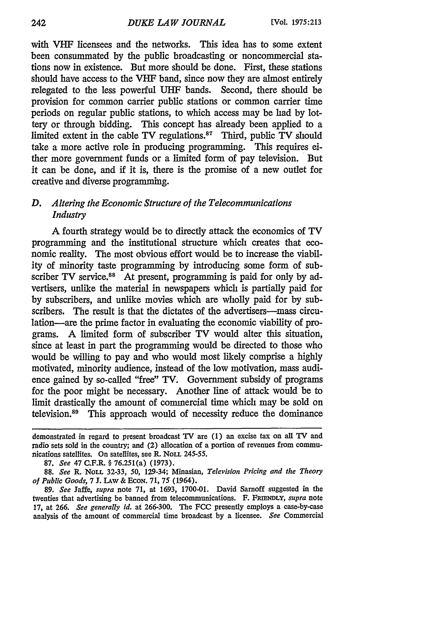with VHF licensees and the networks. This idea has to some extent been consummated by the public broadcasting or noncommercial stations now in existence. But more should be done. First, these stations should have access to the VHF band, since now they are almost entirely relegated to the less powerful UHF bands. Second, there should be provision for common carrier public stations or common carrier time periods on regular public stations, to which access may be had by lottery or through bidding. This concept has already been applied to a limited extent in the cable TV regulations. $87$  Third, public TV should take a more active role in producing programming. This requires either more government funds or a limited form of pay television. But it can be done, and if it is, there is the promise of a new outlet for creative and diverse programming.

# *D. Altering the Economic Structure of the Telecommunications industry*

A fourth strategy would be to directly attack the economics of TV programming and the institutional structure which creates that economic reality. The most obvious effort would be to increase the viability of minority taste programming by introducing some form of subscriber TV service.<sup>88</sup> At present, programming is paid for only by advertisers, unlike the material in newspapers which is partially paid for by subscribers, and unlike movies which are wholly paid for by subscribers. The result is that the dictates of the advertisers-mass circulation-are the prime factor in evaluating the economic viability of programs. A limited form of subscriber TV would alter this situation, since at least in part the programming would be directed to those who would be willing to pay and who would most likely comprise a highly motivated, minority audience, instead of the low motivation, mass audience gained by so-called "free" TV. Government subsidy of programs for the poor might be necessary. Another line of attack would be to limit drastically the amount of commercial time which may be sold on television.<sup>89</sup> This approach would of necessity reduce the dominance

demonstrated in regard to present broadcast TV are (1) an excise tax on all TV and radio sets sold in the country; and (2) allocation of a portion of revenues from communications satellites. On satellites, see R. NOLL 245-55.

**<sup>87.</sup>** *See* 47 C.F.R. § 76.251(a) (1973).

**<sup>88.</sup>** *See* R. **NOLL** 32-33, *50,* 129-34; Minasian, *Television Pricing and the Theory of Public Goods,* 7 **J.** LAw & **ECoN.** 71, 75 (1964).

**<sup>89.</sup>** *See* Yaffe, *supra* note 71, at 1693, 1700-01. David Sarnoff suggested in the twenties that advertising be banned from telecommunications. F. FRIENDLY, *supra* note 17, at **266.** *See generally id.* at 266-300. The **FCC** presently employs a case-by-case analysis of the amount of commercial time broadcast by a licensee. *See* Commercial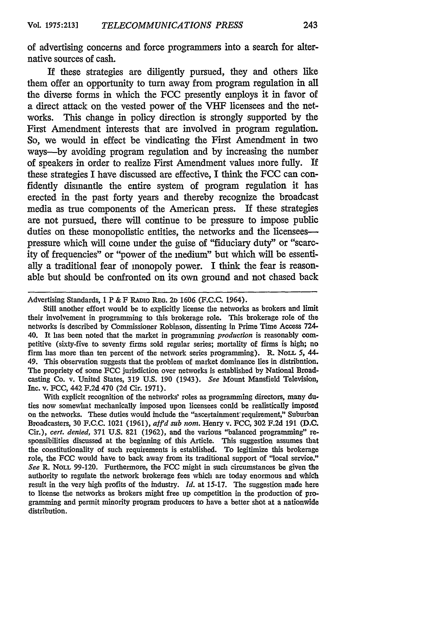of advertising concerns and force programmers into a search for alternative sources of cash.

**If** these strategies are diligently pursued, they and others like them offer an opportunity to turn away from program regulation in all the diverse forms in which the FCC presently employs it in favor of a direct attack on the vested power of the VHF licensees and the networks. This change in policy direction is strongly supported by the First Amendment interests that are involved in program regulation. So, we would in effect be vindicating the First Amendment in two ways-by avoiding program regulation and by increasing the number of speakers in order to realize First Amendment values more fully. If these strategies I have discussed are effective, I think the FCC can confidently dismantle the entire system of program regulation it has erected in the past forty years and thereby recognize the broadcast media as true components of the American press. **If** these strategies are not pursued, there will continue to be pressure to impose public duties on these monopolistic entities, the networks and the licenseespressure which will come under the guise of "fiduciary duty" or "scarcity of frequencies" or "power of the medium" but which will be essentially a traditional fear of monopoly power. I think the fear is reasonable but should be confronted on its own ground and not chased back

With explicit recognition of the networks' roles as programming directors, many duties now somewhat mechanically imposed upon licensees conld be realistically imposed on the networks. These duties would include the "ascertainment requirement," Suburban Broadcasters, 30 F.C.C. 1021 **(1961),** *affd sub nom.* Henry v. FCC, **302** F.2d 191 **(D.C.** Cir.), *cert. denied,* 371 U.S. 821 (1962), and the various "balanced programming" responsibilities discussed at the beginning of this Article. This suggestion assumes that the constitutionality of such requirements is established. To legitimize this brokerage role, the FCC would have to back away from its traditional support of "local service." *See* R. NOLL 99-120. Furthermore, the FCC might in such circumstances be given the authority to regulate the network brokerage fees which are today enormous and which result in the very high profits of the industry. *Id.* at 15-17. The suggestion made here to license the networks as brokers might free up competition in the production of programming and permit minority program producers to have a better shot at a nationwide distribution.

Advertising Standards, 1 P **&** F RADio REG. **21)** 1606 (F.C.C. 1964).

Still another effort would be to explicitly license the networks as brokers and limit their involvement in programming to this brokerage role. This brokerage role of the networks is described by Commissioner Robinson, dissenting in Prime Time Access 724- 40. It has been noted that the market in programming *production* is reasonably competitive (sixty-five to seventy firms sold regular series; mortality of firms is high; no firm has more than ten percent of the network series programming). R. **NoLL** 5, 44- 49. This observation suggests that the problem of market dominance lies in distribution. The propriety of some FCC jurisdiction over networks is established by National Broadcasting Co. v. United States, 319 U.S. 190 (1943). *See* Mount Mansfield Television, Inc. v. FCC, 442 F.2d 470 (2d Cir. 1971).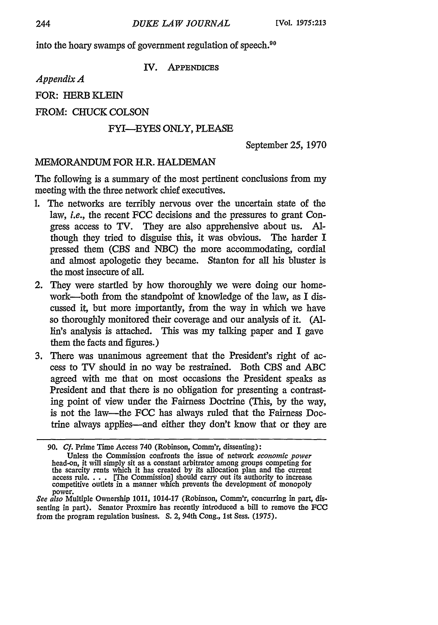into the hoary swamps of government regulation of speech.<sup>96</sup>

IV. APPENDICES

*Appendix A*

FOR: HERB KLEIN

FROM: CHUCK COLSON

# FYI-EYES ONLY, PLEASE

September 25, 1970

## **MEMORANDUM** FOR H.R. HALDEMAN

The following is a summary of the most pertinent conclusions from my meeting with the three network chief executives.

- **1.** The networks are terribly nervous over the uncertain state of the law, *i.e.,* the recent **FCC** decisions and the pressures to grant Congress access to TV. They are also apprehensive about us. Although they tried to disguise this, it was obvious. The harder I pressed them (CBS and **NBC)** the more accommodating, cordial and almost apologetic they became. Stanton for all his bluster is the most insecure of all.
- 2. They were startled **by** how thoroughly we were doing our homework-both from the standpoint of knowledge of the law, as I discussed it, but more importantly, from the way in which we have so thoroughly monitored their coverage and our analysis of it. **(Al**lin's analysis is attached. This was my talking paper and I gave them the facts and figures.)
- **3.** There was unanimous agreement that the President's right of access to TV should in no way be restrained. Both **CBS** and **ABC** agreed with me that on most occasions the President speaks as President and that there is no obligation for presenting a contrasting point of view under the Fairness Doctrine (This, **by** the way, is not the law-the **FCC** has always ruled that the Fairness Doctrine always applies—and either they don't know that or they are

244

*<sup>90.</sup> Cf.* Prime Time Access 740 (Robinson, Conm'r, dissenting): Unless the Commission confronts the issue of network *economic power* head-on, it will simply sit as a constant arbitrator among groups competing for the scarcity rents which it has created by its allocation plan and the current access rule.... [The Commission] should carry out its authority to increase competitive outlets in a manner which prevents the development of power.

*See also* Multiple Ownership 1011, 1014-17 (Robinson, Comm'r, concurring in part, dissenting in part). Senator Proxmire has recently introduced a **bill** to remove the **FCC** from the program regulation business. **S.** 2, 94th Cong., 1st Sess. (1975).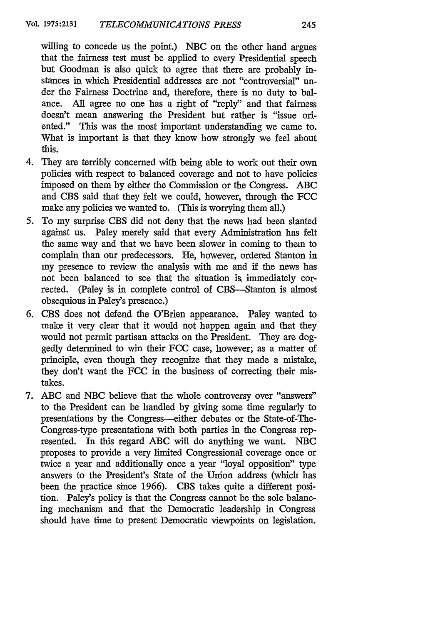willing to concede us the point.) NBC on the other hand argues that the fairness test must be applied to every Presidential speech but Goodman is also quick to agree that there are probably instances in which Presidential addresses are not "controversial" under the Fairness Doctrine and, therefore, there is no duty to balance. All agree no one has a right of "reply" and that fairness doesn't mean answering the President but rather is "issue oriented." This was the most important understanding we came to. What is important is that they know how strongly we feel about this.

- 4. They are terribly concerned with being able to work out their own policies with respect to balanced coverage and not to have policies imposed on them by either the Commission or the Congress. ABC and CBS said that they felt we could, however, through the FCC make any policies we wanted to. (This is worrying them all.)
- *5.* To my surprise CBS did not deny that the news had been slanted against us. Paley merely said that every Administration has felt the same way and that we have been slower in coming to them to complain than our predecessors. He, however, ordered Stanton in my presence to review the analysis with me and if the news has not been balanced to see that the situation is immediately corrected. (Paley is in complete control of CBS-Stanton is almost obsequious in Paley's presence.)
- 6. CBS does not defend the O'Brien appearance. Paley wanted to make it very clear that it would not happen again and that they would not permit partisan attacks on the President. They are doggedly determined to win their FCC case, however; as a matter of principle, even though they recognize that they made a mistake, they don't want the FCC in the business of correcting their mistakes.
- 7. ABC and NBC believe that the whole controversy over "answers" to the President can be handled by giving some time regularly to presentations by the Congress-either debates or the State-of-The-Congress-type presentations with both parties in the Congress represented. In this regard **ABC** will do anything we want. NBC proposes to provide a very limited Congressional coverage once or twice a year and additionally once a year "loyal opposition" type answers to the President's State of the Union address (which has been the practice since 1966). CBS takes quite a different position. Paley's policy is that the Congress cannot be the sole balancing mechanism and that the Democratic leadership in Congress should have time to present Democratic viewpoints on legislation.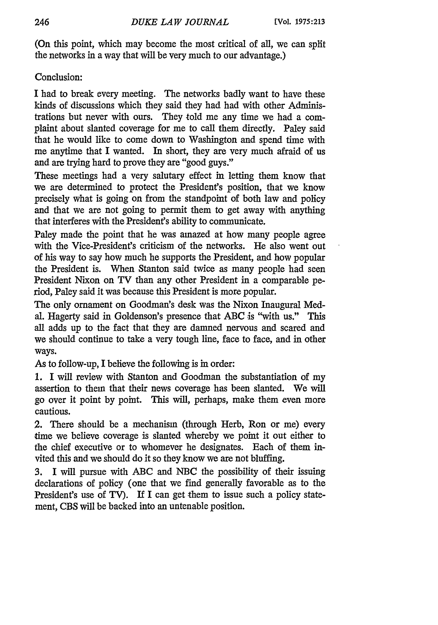(On this point, which may become the most critical of all, we can split the networks in a way that will be very much to our advantage.)

# Conclusion:

I had to break every meeting. The networks badly want to have these kinds of discussions which they said they had had with other Administrations but never with ours. They told me any time we had a complaint about slanted coverage for me to call them directly. Paley said that he would like to come down to Washington and spend time with me anytime that I wanted. In short, they are very much afraid of us and are trying hard to prove they are "good guys."

These meetings had a very salutary effect in letting them know that we are determined to protect the President's position, that we know precisely what is going on from the standpoint of both law and policy and that we are not going to permit them to get away with anything that interferes with the President's ability to communicate.

Paley made the point that he was amazed at how many people agree with the Vice-President's criticism of the networks. He also went out of his way to say how much he supports the President, and how popular the President is. When Stanton said twice as many people had seen President Nixon on TV than any other President in a comparable period, Paley said it was because this President is more popular.

The only ornament on Goodman's desk was the Nixon Inaugural Medal. Hagerty said in Goldenson's presence that ABC is "with us." This all adds up to the fact that they are damned nervous and scared and we should continue to take a very tough line, face to face, and in other ways.

As to follow-up, I believe the following is in order:

1. I will review with Stanton and Goodman the substantiation of my assertion to them that their news coverage has been slanted. We will go over it point by point. This will, perhaps, make them even more cautious.

2. There should **be** a mechanism (through Herb, Ron or me) every time we believe coverage is slanted whereby we point it out either to the chief executive or to whomever he designates. Each of them invited this and we should do it so they know we are not bluffing.

**3. I** will pursue with **ABC** and **NBC** the possibility of their issuing declarations of policy (one that we find generally favorable as to the President's use of TV). If I can get them to issue such a policy statement, **CBS** will be backed into an untenable position.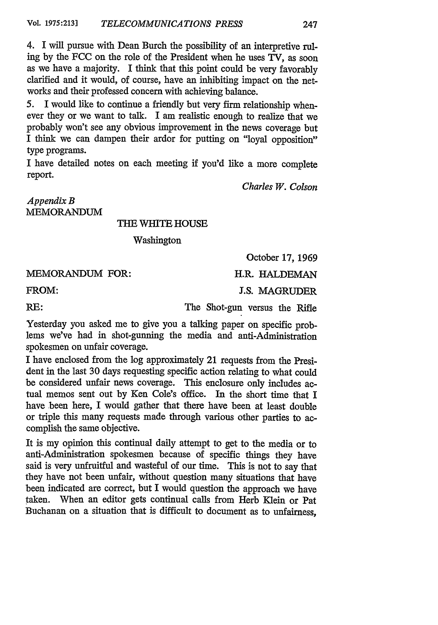4. I will pursue with Dean Burch the possibility of an interpretive ruling by the FCC on the role of the President when he uses TV, as soon as we have a majority. I think that this point could be very favorably clarified and it would, of course, have an inhibiting impact on the networks and their professed concern with achieving balance.

5. I would like to continue a friendly but very firm relationship whenever they or we want to talk. I am realistic enough to realize that we probably won't see any obvious improvement in the news coverage but I think we can dampen their ardor for putting on "loyal opposition" type programs.

I have detailed notes on each meeting **if** you'd like a more complete report.

*Charles W. Colson*

*Appendix B* MEMORANDUM

#### **TIE** WHITE **HOUSE**

Washington

MEMORANDUM FOR: H.R. HALDEMAN

October 17, 1969

FROM: J.S. **MAGRUDER**

**RE:** The Shot-gun versus the Rifle

Yesterday you asked me to give you a talking paper on specific problems we've had in shot-gunning the media and anti-Administration spokesmen on unfair coverage.

I have enclosed from the log approximately 21 requests from the President in the last 30 days requesting specific action relating to what could be considered unfair news coverage. This enclosure only includes actual memos sent out by Ken Cole's office. In the short time that I have been here, I would gather that there have been at least double or triple this many requests made through various other parties to accomplish the same objective.

It is my opinion this continual daily attempt to get to the media or to anti-Administration spokesmen because of specific things they have said is very unfruitful and wasteful of our time. This is not to say that they have not been unfair, without question many situations that have been indicated are correct, but I would question the approach we have taken. When an editor gets continual calls from Herb Klein or Pat Buchanan on a situation that is difficult to document as to unfairness,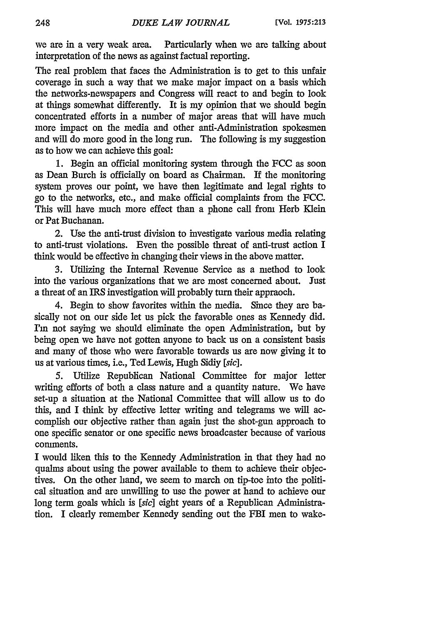we are in a very weak area. Particularly when we are talking about interpretation of the news as against factual reporting.

The real problem that faces the Administration is to get to this unfair coverage in such a way that we make major impact on a basis which the networks-newspapers and Congress will react to and begin to look at things somewhat differently. It is my opinion that we should begin concentrated efforts in a number of major areas that will have much more impact on the media and other anti-Administration spokesmen and will do more good in the long run. The following is my suggestion as to how we can achieve this goal:

1. Begin an official monitoring system through the FCC as soon as Dean Burch is officially on board as Chairman. If the monitoring system proves our point, we have then legitimate and legal rights to go to the networks, etc., and make official complaints from the **FCC.** This will have much more effect than a phone call from Herb Klein or Pat Buchanan.

2. Use the anti-trust division to investigate various media relating to anti-trust violations. Even the possible threat of anti-trust action I think would be effective in changing their views in the above matter.

3. Utilizing the Internal Revenue Service as a method to look into the various organizations that we are most concerned about. Just a threat of an IRS investigation will probably turn their appraoch.

4. Begin to show favorites within the media. Since they are basically not on our side let us pick the favorable ones as Kennedy did. I'm not saying we should eliminate the open Administration, but by being open we have not gotten anyone to back us on a consistent basis and many of those who were favorable towards us are now giving it to us at various times, i.e., Ted Lewis, Hugh Sidiy *[sic].*

**5.** Utilize Republican National Committee for major letter writing efforts of both a class nature and a quantity nature. We have set-up a situation at the National Committee that will allow us to do this, and I think by effective letter writing and telegrams we will accomplish our objective rather than again just the shot-gun approach to one specific senator or one specific news broadcaster because of various comments.

I would liken this to the Kennedy Administration in that they had no qualms about using the power available to them to achieve their objectives. On the other hand, we seem to march on tip-toe into the political situation and are unwilling to use the power at hand to achieve our long term goals which is *[sic]* eight years of a Republican Administration. I clearly remember Kennedy sending out the FBI men to wake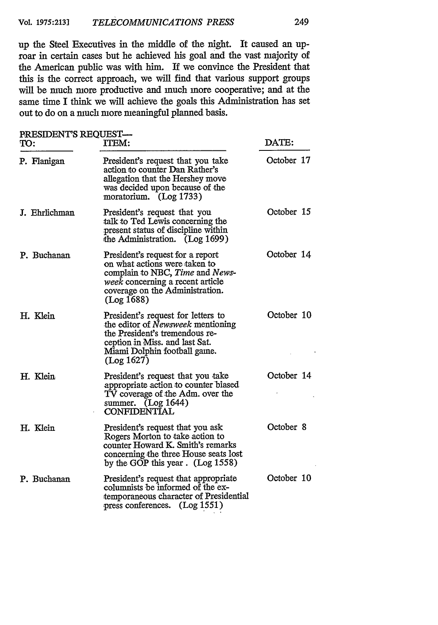up the Steel Executives in the middle of the night. It caused an uproar in certain cases but he achieved his goal and the vast majority of the American public was with him. **If** we convince the President that this is the correct approach, we will find that various support groups will be much more productive and much more cooperative; and at the same time I think we will achieve the goals this Administration has set out to do on a much more meaningful planned basis.

| PRESIDENT'S REQUEST-<br>TO: | <b>ITEM:</b>                                                                                                                                                                                     | DATE:      |
|-----------------------------|--------------------------------------------------------------------------------------------------------------------------------------------------------------------------------------------------|------------|
| P. Flanigan                 | President's request that you take<br>action to counter Dan Rather's<br>allegation that the Hershey move<br>was decided upon because of the<br>moratorium. (Log 1733)                             | October 17 |
| J. Ehrlichman               | President's request that you<br>talk to Ted Lewis concerning the<br>present status of discipline within<br>the Administration. (Log 1699)                                                        | October 15 |
| P. Buchanan                 | President's request for a report<br>on what actions were taken to<br>complain to NBC, Time and News-<br>week concerning a recent article<br>coverage on the Administration.<br>(Log 1688)        | October 14 |
| H. Klein                    | President's request for letters to<br>the editor of <i>Newsweek</i> mentioning<br>the President's tremendous re-<br>ception in Miss. and last Sat.<br>Miami Dolphin football game.<br>(Log 1627) | October 10 |
| H. Klein                    | President's request that you take<br>appropriate action to counter biased<br>TV coverage of the Adm. over the<br>summer. $($ Log 1644 $)$<br>CONFIDENTIAL                                        | October 14 |
| H. Klein                    | President's request that you ask<br>Rogers Morton to take action to<br>counter Howard K. Smith's remarks<br>concerning the three House seats lost<br>by the GOP this year. $(Log 1558)$          | October 8  |
| P. Buchanan                 | President's request that appropriate<br>columnists be informed of the ex-<br>temporaneous character of Presidential<br>press conferences. (Log 1551)                                             | October 10 |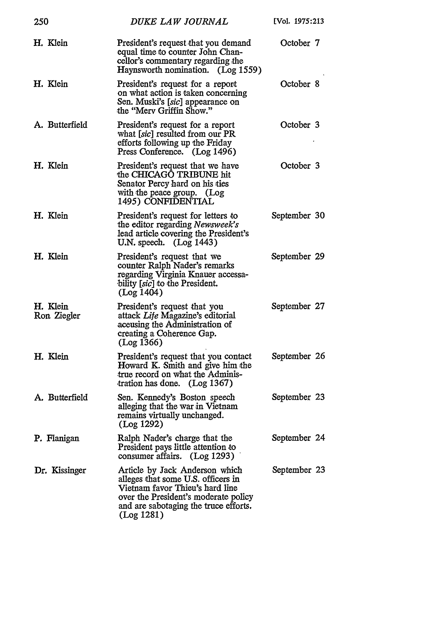| 250                     | DUKE LAW JOURNAL                                                                                                                                                                                       | [Vol. 1975:213 |
|-------------------------|--------------------------------------------------------------------------------------------------------------------------------------------------------------------------------------------------------|----------------|
| H. Klein                | President's request that you demand<br>equal time to counter John Chan-<br>cellor's commentary regarding the<br>Haynsworth nomination. (Log 1559)                                                      | October 7      |
| H. Klein                | President's request for a report<br>on what action is taken concerning<br>Sen. Muski's [sic] appearance on<br>the "Mery Griffin Show."                                                                 | October 8      |
| A. Butterfield          | President's request for a report<br>what [sic] resulted from our PR<br>efforts following up the Friday<br>Press Conference. (Log 1496)                                                                 | October 3      |
| H. Klein                | President's request that we have<br>the CHICAGO TRIBUNE hit<br>Senator Percy hard on his ties<br>with the peace group. (Log<br>1495) CONFIDENTIAL                                                      | October 3      |
| H. Klein                | President's request for letters to<br>the editor regarding Newsweek's<br>lead article covering the President's<br>U.N. speech. $(Log 1443)$                                                            | September 30   |
| H. Klein                | President's request that we<br>counter Ralph Nader's remarks<br>regarding Virginia Knauer accessa-<br>bility [sic] to the President.<br>(Log 1404)                                                     | September 29   |
| H. Klein<br>Ron Ziegler | President's request that you<br>attack Life Magazine's editorial<br>aceusing the Administration of<br>creating a Coherence Gap.<br>(Log 1366)                                                          | September 27   |
| H. Klein                | President's request that you contact<br>Howard K. Smith and give him the<br>true record on what the Adminis-<br>tration has done. (Log 1367)                                                           | September 26   |
| A. Butterfield          | Sen. Kennedy's Boston speech<br>alleging that the war in Vietnam<br>remains virtually unchanged.<br>(Log 1292)                                                                                         | September 23   |
| P. Flanigan             | Ralph Nader's charge that the<br>President pays little attention to<br>consumer affairs. (Log 1293)                                                                                                    | September 24   |
| Dr. Kissinger           | Article by Jack Anderson which<br>alleges that some U.S. officers in<br>Vietnam favor Thieu's hard line<br>over the President's moderate policy<br>and are sabotaging the truce efforts.<br>(Log 1281) | September 23   |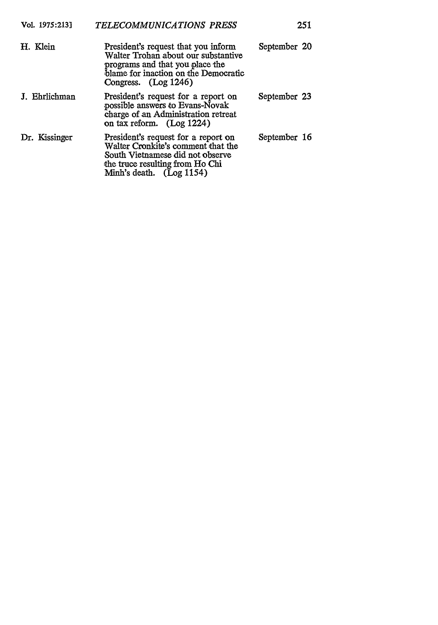| Vol. 1975:213] | TELECOMMUNICATIONS PRESS                                                                                                                                                      | 251          |
|----------------|-------------------------------------------------------------------------------------------------------------------------------------------------------------------------------|--------------|
| H. Klein       | President's request that you inform<br>Walter Trohan about our substantive<br>programs and that you place the<br>blame for inaction on the Democratic<br>Congress. (Log 1246) | September 20 |
| J. Ehrlichman  | President's request for a report on<br>possible answers to Evans-Novak<br>charge of an Administration retreat<br>on tax reform. (Log 1224)                                    | September 23 |
| Dr. Kissinger  | President's request for a report on<br>Walter Cronkite's comment that the<br>South Vietnamese did not observe<br>the truce resulting from Ho Chi<br>Minh's death. (Log 1154)  | September 16 |